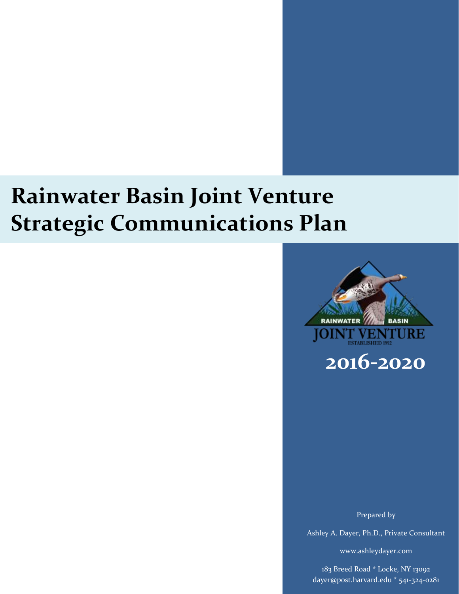# **Rainwater Basin Joint Venture Strategic Communications Plan**



Prepared by

Ashley A. Dayer, Ph.D., Private Consultant

www.ashleydayer.com

183 Breed Road \* Locke, NY 13092 dayer@post.harvard.edu \* 541-324-0281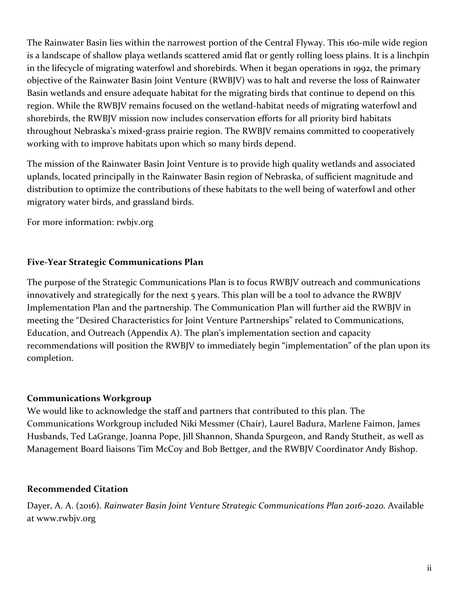The Rainwater Basin lies within the narrowest portion of the Central Flyway. This 160-mile wide region is a landscape of shallow playa wetlands scattered amid flat or gently rolling loess plains. It is a linchpin in the lifecycle of migrating waterfowl and shorebirds. When it began operations in 1992, the primary objective of the Rainwater Basin Joint Venture (RWBJV) was to halt and reverse the loss of Rainwater Basin wetlands and ensure adequate habitat for the migrating birds that continue to depend on this region. While the RWBJV remains focused on the wetland-habitat needs of migrating waterfowl and shorebirds, the RWBJV mission now includes conservation efforts for all priority bird habitats throughout Nebraska's mixed-grass prairie region. The RWBJV remains committed to cooperatively working with to improve habitats upon which so many birds depend.

The mission of the Rainwater Basin Joint Venture is to provide high quality wetlands and associated uplands, located principally in the Rainwater Basin region of Nebraska, of sufficient magnitude and distribution to optimize the contributions of these habitats to the well being of waterfowl and other migratory water birds, and grassland birds.

For more information: rwbjv.org

# <span id="page-1-0"></span>**Five-Year Strategic Communications Plan**

The purpose of the Strategic Communications Plan is to focus RWBJV outreach and communications innovatively and strategically for the next 5 years. This plan will be a tool to advance the RWBJV Implementation Plan and the partnership. The Communication Plan will further aid the RWBJV in meeting the "Desired Characteristics for Joint Venture Partnerships" related to Communications, Education, and Outreach (Appendix A). The plan's implementation section and capacity recommendations will position the RWBJV to immediately begin "implementation" of the plan upon its completion.

#### **Communications Workgroup**

We would like to acknowledge the staff and partners that contributed to this plan. The Communications Workgroup included Niki Messmer (Chair), Laurel Badura, Marlene Faimon, James Husbands, Ted LaGrange, Joanna Pope, Jill Shannon, Shanda Spurgeon, and Randy Stutheit, as well as Management Board liaisons Tim McCoy and Bob Bettger, and the RWBJV Coordinator Andy Bishop.

#### **Recommended Citation**

Dayer, A. A. (2016). *Rainwater Basin Joint Venture Strategic Communications Plan 2016-2020.* Available at [www.rwbjv.org](http://www.rwbjv.org/)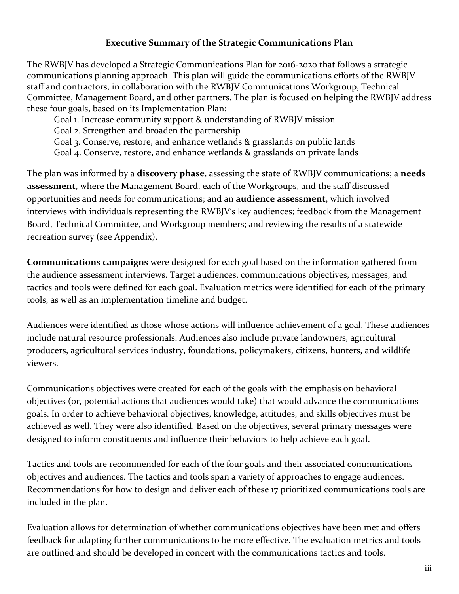#### **Executive Summary of the Strategic Communications Plan**

The RWBJV has developed a Strategic Communications Plan for 2016-2020 that follows a strategic communications planning approach. This plan will guide the communications efforts of the RWBJV staff and contractors, in collaboration with the RWBJV Communications Workgroup, Technical Committee, Management Board, and other partners. The plan is focused on helping the RWBJV address these four goals, based on its Implementation Plan:

Goal 1. Increase community support & understanding of RWBJV mission

Goal 2. Strengthen and broaden the partnership

Goal 3. Conserve, restore, and enhance wetlands & grasslands on public lands

Goal 4. Conserve, restore, and enhance wetlands & grasslands on private lands

The plan was informed by a **discovery phase**, assessing the state of RWBJV communications; a **needs assessment**, where the Management Board, each of the Workgroups, and the staff discussed opportunities and needs for communications; and an **audience assessment**, which involved interviews with individuals representing the RWBJV's key audiences; feedback from the Management Board, Technical Committee, and Workgroup members; and reviewing the results of a statewide recreation survey (see Appendix).

**Communications campaigns** were designed for each goal based on the information gathered from the audience assessment interviews. Target audiences, communications objectives, messages, and tactics and tools were defined for each goal. Evaluation metrics were identified for each of the primary tools, as well as an implementation timeline and budget.

Audiences were identified as those whose actions will influence achievement of a goal. These audiences include natural resource professionals. Audiences also include private landowners, agricultural producers, agricultural services industry, foundations, policymakers, citizens, hunters, and wildlife viewers.

Communications objectives were created for each of the goals with the emphasis on behavioral objectives (or, potential actions that audiences would take) that would advance the communications goals. In order to achieve behavioral objectives, knowledge, attitudes, and skills objectives must be achieved as well. They were also identified. Based on the objectives, several primary messages were designed to inform constituents and influence their behaviors to help achieve each goal.

Tactics and tools are recommended for each of the four goals and their associated communications objectives and audiences. The tactics and tools span a variety of approaches to engage audiences. Recommendations for how to design and deliver each of these 17 prioritized communications tools are included in the plan.

Evaluation allows for determination of whether communications objectives have been met and offers feedback for adapting further communications to be more effective. The evaluation metrics and tools are outlined and should be developed in concert with the communications tactics and tools.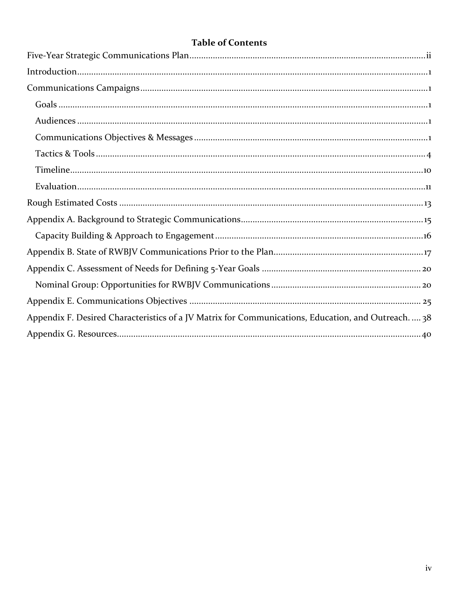| <b>Table of Contents</b> |  |
|--------------------------|--|
|--------------------------|--|

| Appendix F. Desired Characteristics of a JV Matrix for Communications, Education, and Outreach.  38 |
|-----------------------------------------------------------------------------------------------------|
|                                                                                                     |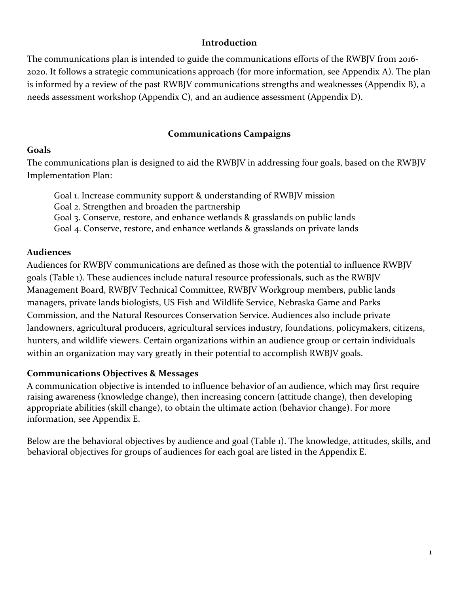#### **Introduction**

<span id="page-4-0"></span>The communications plan is intended to guide the communications efforts of the RWBJV from 2016- 2020. It follows a strategic communications approach (for more information, see Appendix A). The plan is informed by a review of the past RWBJV communications strengths and weaknesses (Appendix B), a needs assessment workshop (Appendix C), and an audience assessment (Appendix D).

#### **Communications Campaigns**

#### <span id="page-4-2"></span><span id="page-4-1"></span>**Goals**

The communications plan is designed to aid the RWBJV in addressing four goals, based on the RWBJV Implementation Plan:

Goal 1. Increase community support & understanding of RWBJV mission

Goal 2. Strengthen and broaden the partnership

Goal 3. Conserve, restore, and enhance wetlands & grasslands on public lands

Goal 4. Conserve, restore, and enhance wetlands & grasslands on private lands

## <span id="page-4-3"></span>**Audiences**

Audiences for RWBJV communications are defined as those with the potential to influence RWBJV goals (Table 1). These audiences include natural resource professionals, such as the RWBJV Management Board, RWBJV Technical Committee, RWBJV Workgroup members, public lands managers, private lands biologists, US Fish and Wildlife Service, Nebraska Game and Parks Commission, and the Natural Resources Conservation Service. Audiences also include private landowners, agricultural producers, agricultural services industry, foundations, policymakers, citizens, hunters, and wildlife viewers. Certain organizations within an audience group or certain individuals within an organization may vary greatly in their potential to accomplish RWBJV goals.

# <span id="page-4-4"></span>**Communications Objectives & Messages**

A communication objective is intended to influence behavior of an audience, which may first require raising awareness (knowledge change), then increasing concern (attitude change), then developing appropriate abilities (skill change), to obtain the ultimate action (behavior change). For more information, see Appendix E.

Below are the behavioral objectives by audience and goal (Table 1). The knowledge, attitudes, skills, and behavioral objectives for groups of audiences for each goal are listed in the Appendix E.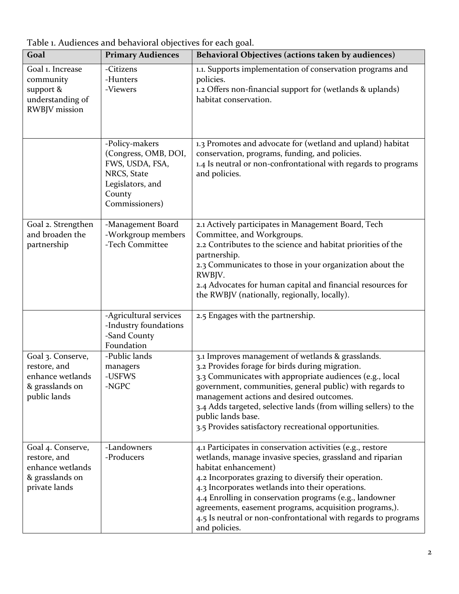| Goal                                                                                      | <b>Primary Audiences</b>                                                                                                 | Behavioral Objectives (actions taken by audiences)                                                                                                                                                                                                                                                                                                                                                                                                                    |
|-------------------------------------------------------------------------------------------|--------------------------------------------------------------------------------------------------------------------------|-----------------------------------------------------------------------------------------------------------------------------------------------------------------------------------------------------------------------------------------------------------------------------------------------------------------------------------------------------------------------------------------------------------------------------------------------------------------------|
| Goal 1. Increase<br>community<br>support &<br>understanding of<br><b>RWBJV</b> mission    | -Citizens<br>-Hunters<br>-Viewers                                                                                        | 1.1. Supports implementation of conservation programs and<br>policies.<br>1.2 Offers non-financial support for (wetlands & uplands)<br>habitat conservation.                                                                                                                                                                                                                                                                                                          |
|                                                                                           | -Policy-makers<br>(Congress, OMB, DOI,<br>FWS, USDA, FSA,<br>NRCS, State<br>Legislators, and<br>County<br>Commissioners) | 1.3 Promotes and advocate for (wetland and upland) habitat<br>conservation, programs, funding, and policies.<br>1.4 Is neutral or non-confrontational with regards to programs<br>and policies.                                                                                                                                                                                                                                                                       |
| Goal 2. Strengthen<br>and broaden the<br>partnership                                      | -Management Board<br>-Workgroup members<br>-Tech Committee                                                               | 2.1 Actively participates in Management Board, Tech<br>Committee, and Workgroups.<br>2.2 Contributes to the science and habitat priorities of the<br>partnership.<br>2.3 Communicates to those in your organization about the<br>RWBJV.<br>2.4 Advocates for human capital and financial resources for<br>the RWBJV (nationally, regionally, locally).                                                                                                                |
|                                                                                           | -Agricultural services<br>-Industry foundations<br>-Sand County<br>Foundation                                            | 2.5 Engages with the partnership.                                                                                                                                                                                                                                                                                                                                                                                                                                     |
| Goal 3. Conserve,<br>restore, and<br>enhance wetlands<br>& grasslands on<br>public lands  | -Public lands<br>managers<br>-USFWS<br>-NGPC                                                                             | 3.1 Improves management of wetlands & grasslands.<br>3.2 Provides forage for birds during migration.<br>3.3 Communicates with appropriate audiences (e.g., local<br>government, communities, general public) with regards to<br>management actions and desired outcomes.<br>3.4 Adds targeted, selective lands (from willing sellers) to the<br>public lands base.<br>3.5 Provides satisfactory recreational opportunities.                                           |
| Goal 4. Conserve,<br>restore, and<br>enhance wetlands<br>& grasslands on<br>private lands | -Landowners<br>-Producers                                                                                                | 4.1 Participates in conservation activities (e.g., restore<br>wetlands, manage invasive species, grassland and riparian<br>habitat enhancement)<br>4.2 Incorporates grazing to diversify their operation.<br>4.3 Incorporates wetlands into their operations.<br>4.4 Enrolling in conservation programs (e.g., landowner<br>agreements, easement programs, acquisition programs,).<br>4.5 Is neutral or non-confrontational with regards to programs<br>and policies. |

Table 1. Audiences and behavioral objectives for each goal.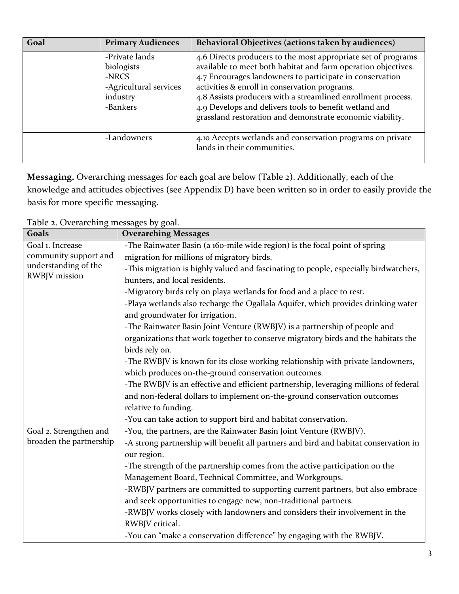| Goal | <b>Primary Audiences</b>                                                                | Behavioral Objectives (actions taken by audiences)                                                                                                                                                                                                                                                                                                                                                                                 |
|------|-----------------------------------------------------------------------------------------|------------------------------------------------------------------------------------------------------------------------------------------------------------------------------------------------------------------------------------------------------------------------------------------------------------------------------------------------------------------------------------------------------------------------------------|
|      | -Private lands<br>biologists<br>-NRCS<br>-Agricultural services<br>industry<br>-Bankers | 4.6 Directs producers to the most appropriate set of programs<br>available to meet both habitat and farm operation objectives.<br>4.7 Encourages landowners to participate in conservation<br>activities & enroll in conservation programs.<br>4.8 Assists producers with a streamlined enrollment process.<br>4.9 Develops and delivers tools to benefit wetland and<br>grassland restoration and demonstrate economic viability. |
|      | -Landowners                                                                             | 4.10 Accepts wetlands and conservation programs on private<br>lands in their communities.                                                                                                                                                                                                                                                                                                                                          |

**Messaging.** Overarching messages for each goal are below (Table 2). Additionally, each of the knowledge and attitudes objectives (see Appendix D) have been written so in order to easily provide the basis for more specific messaging.

Table 2. Overarching messages by goal.

| Goals                   | $\sim$ $\sim$<br>$\sim$ $\sigma$ $\sim$<br><b>Overarching Messages</b>               |  |  |  |  |
|-------------------------|--------------------------------------------------------------------------------------|--|--|--|--|
| Goal 1. Increase        | -The Rainwater Basin (a 160-mile wide region) is the focal point of spring           |  |  |  |  |
|                         |                                                                                      |  |  |  |  |
| community support and   | migration for millions of migratory birds.                                           |  |  |  |  |
| understanding of the    | -This migration is highly valued and fascinating to people, especially birdwatchers, |  |  |  |  |
| RWBJV mission           | hunters, and local residents.                                                        |  |  |  |  |
|                         | -Migratory birds rely on playa wetlands for food and a place to rest.                |  |  |  |  |
|                         | -Playa wetlands also recharge the Ogallala Aquifer, which provides drinking water    |  |  |  |  |
|                         | and groundwater for irrigation.                                                      |  |  |  |  |
|                         | -The Rainwater Basin Joint Venture (RWBJV) is a partnership of people and            |  |  |  |  |
|                         | organizations that work together to conserve migratory birds and the habitats the    |  |  |  |  |
|                         | birds rely on.                                                                       |  |  |  |  |
|                         | -The RWBJV is known for its close working relationship with private landowners,      |  |  |  |  |
|                         | which produces on-the-ground conservation outcomes.                                  |  |  |  |  |
|                         | -The RWBJV is an effective and efficient partnership, leveraging millions of federal |  |  |  |  |
|                         | and non-federal dollars to implement on-the-ground conservation outcomes             |  |  |  |  |
|                         | relative to funding.                                                                 |  |  |  |  |
|                         | -You can take action to support bird and habitat conservation.                       |  |  |  |  |
| Goal 2. Strengthen and  | -You, the partners, are the Rainwater Basin Joint Venture (RWBJV).                   |  |  |  |  |
| broaden the partnership | -A strong partnership will benefit all partners and bird and habitat conservation in |  |  |  |  |
|                         | our region.                                                                          |  |  |  |  |
|                         | -The strength of the partnership comes from the active participation on the          |  |  |  |  |
|                         | Management Board, Technical Committee, and Workgroups.                               |  |  |  |  |
|                         | -RWBJV partners are committed to supporting current partners, but also embrace       |  |  |  |  |
|                         | and seek opportunities to engage new, non-traditional partners.                      |  |  |  |  |
|                         | -RWBJV works closely with landowners and considers their involvement in the          |  |  |  |  |
|                         | RWBJV critical.                                                                      |  |  |  |  |
|                         | -You can "make a conservation difference" by engaging with the RWBJV.                |  |  |  |  |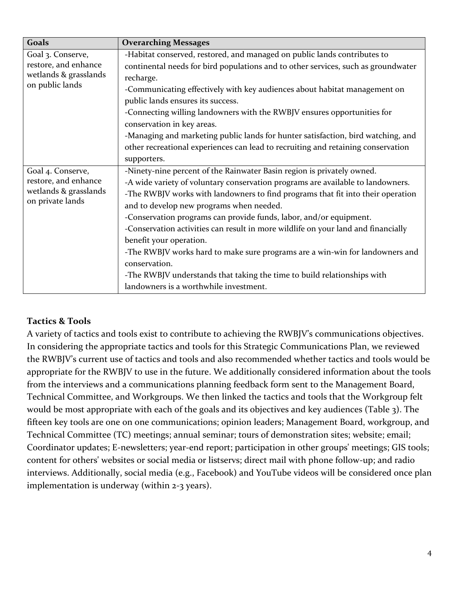| Goals                                    | <b>Overarching Messages</b>                                                       |
|------------------------------------------|-----------------------------------------------------------------------------------|
| Goal 3. Conserve,                        | -Habitat conserved, restored, and managed on public lands contributes to          |
| restore, and enhance                     | continental needs for bird populations and to other services, such as groundwater |
| wetlands & grasslands<br>on public lands | recharge.                                                                         |
|                                          | -Communicating effectively with key audiences about habitat management on         |
|                                          | public lands ensures its success.                                                 |
|                                          | -Connecting willing landowners with the RWBJV ensures opportunities for           |
|                                          | conservation in key areas.                                                        |
|                                          | -Managing and marketing public lands for hunter satisfaction, bird watching, and  |
|                                          | other recreational experiences can lead to recruiting and retaining conservation  |
|                                          | supporters.                                                                       |
| Goal 4. Conserve,                        | -Ninety-nine percent of the Rainwater Basin region is privately owned.            |
| restore, and enhance                     | -A wide variety of voluntary conservation programs are available to landowners.   |
| wetlands & grasslands                    | -The RWBJV works with landowners to find programs that fit into their operation   |
| on private lands                         | and to develop new programs when needed.                                          |
|                                          | -Conservation programs can provide funds, labor, and/or equipment.                |
|                                          | -Conservation activities can result in more wildlife on your land and financially |
|                                          | benefit your operation.                                                           |
|                                          | -The RWBJV works hard to make sure programs are a win-win for landowners and      |
|                                          | conservation.                                                                     |
|                                          | -The RWBJV understands that taking the time to build relationships with           |
|                                          | landowners is a worthwhile investment.                                            |

# <span id="page-7-0"></span>**Tactics & Tools**

A variety of tactics and tools exist to contribute to achieving the RWBJV's communications objectives. In considering the appropriate tactics and tools for this Strategic Communications Plan, we reviewed the RWBJV's current use of tactics and tools and also recommended whether tactics and tools would be appropriate for the RWBJV to use in the future. We additionally considered information about the tools from the interviews and a communications planning feedback form sent to the Management Board, Technical Committee, and Workgroups. We then linked the tactics and tools that the Workgroup felt would be most appropriate with each of the goals and its objectives and key audiences (Table 3). The fifteen key tools are one on one communications; opinion leaders; Management Board, workgroup, and Technical Committee (TC) meetings; annual seminar; tours of demonstration sites; website; email; Coordinator updates; E-newsletters; year-end report; participation in other groups' meetings; GIS tools; content for others' websites or social media or listservs; direct mail with phone follow-up; and radio interviews. Additionally, social media (e.g., Facebook) and YouTube videos will be considered once plan implementation is underway (within 2-3 years).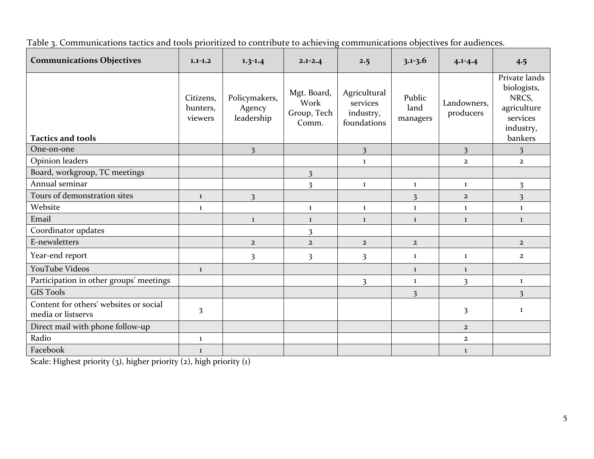Table 3. Communications tactics and tools prioritized to contribute to achieving communications objectives for audiences.

| <b>Communications Objectives</b>                             | $1.1 - 1.2$                      | $1.3 - 1.4$                           | $2.1 - 2.4$                                 | 2.5                                                  | $3.1 - 3.6$                | $4.1 - 4.4$              | 4.5                                                                                      |
|--------------------------------------------------------------|----------------------------------|---------------------------------------|---------------------------------------------|------------------------------------------------------|----------------------------|--------------------------|------------------------------------------------------------------------------------------|
| <b>Tactics and tools</b>                                     | Citizens,<br>hunters,<br>viewers | Policymakers,<br>Agency<br>leadership | Mgt. Board,<br>Work<br>Group, Tech<br>Comm. | Agricultural<br>services<br>industry,<br>foundations | Public<br>land<br>managers | Landowners,<br>producers | Private lands<br>biologists,<br>NRCS,<br>agriculture<br>services<br>industry,<br>bankers |
| One-on-one                                                   |                                  | $\overline{3}$                        |                                             | $\overline{\mathbf{3}}$                              |                            | 3                        | $\overline{\mathbf{3}}$                                                                  |
| Opinion leaders                                              |                                  |                                       |                                             | 1                                                    |                            | $\overline{2}$           | $\overline{2}$                                                                           |
| Board, workgroup, TC meetings                                |                                  |                                       | $\overline{\mathbf{3}}$                     |                                                      |                            |                          |                                                                                          |
| Annual seminar                                               |                                  |                                       | $\overline{\mathbf{3}}$                     | $\mathbf{1}$                                         | $\mathbf{1}$               | $\mathbf{1}$             | $\overline{\mathbf{3}}$                                                                  |
| Tours of demonstration sites                                 | $\mathbf{1}$                     | $\overline{\mathbf{3}}$               |                                             |                                                      | $\overline{\mathbf{3}}$    | $\overline{2}$           | $\overline{\mathbf{3}}$                                                                  |
| Website                                                      | $\mathbf{1}$                     |                                       | $\mathbf{1}$                                | $\bf{1}$                                             | $\mathbf{1}$               | $\bf{1}$                 | $\mathbf{1}$                                                                             |
| Email                                                        |                                  | $\mathbf{1}$                          | $\mathbf{1}$                                | $\mathbf{1}$                                         | $\mathbf{1}$               | $\mathbf{1}$             | $\mathbf{1}$                                                                             |
| Coordinator updates                                          |                                  |                                       | $\overline{\mathbf{3}}$                     |                                                      |                            |                          |                                                                                          |
| E-newsletters                                                |                                  | $\overline{2}$                        | $\overline{2}$                              | $\overline{2}$                                       | $\overline{2}$             |                          | $\overline{2}$                                                                           |
| Year-end report                                              |                                  | $\overline{3}$                        | $\overline{\mathbf{3}}$                     | $\overline{\mathbf{3}}$                              | $\bf{1}$                   | $\mathbf{1}$             | $\overline{2}$                                                                           |
| YouTube Videos                                               | $\mathbf{1}$                     |                                       |                                             |                                                      | $\mathbf{1}$               | $\mathbf{1}$             |                                                                                          |
| Participation in other groups' meetings                      |                                  |                                       |                                             | $\overline{\mathbf{3}}$                              | $\mathbf{1}$               | 3                        | 1                                                                                        |
| <b>GIS Tools</b>                                             |                                  |                                       |                                             |                                                      | 3                          |                          | 3                                                                                        |
| Content for others' websites or social<br>media or listservs | $\overline{\mathbf{3}}$          |                                       |                                             |                                                      |                            | $\overline{\mathbf{3}}$  | 1                                                                                        |
| Direct mail with phone follow-up                             |                                  |                                       |                                             |                                                      |                            | $\overline{2}$           |                                                                                          |
| Radio                                                        | $\bf{1}$                         |                                       |                                             |                                                      |                            | $\overline{2}$           |                                                                                          |
| Facebook                                                     | $\mathbf{1}$                     |                                       |                                             |                                                      |                            | $\mathbf{1}$             |                                                                                          |

Scale: Highest priority (3), higher priority (2), high priority (1)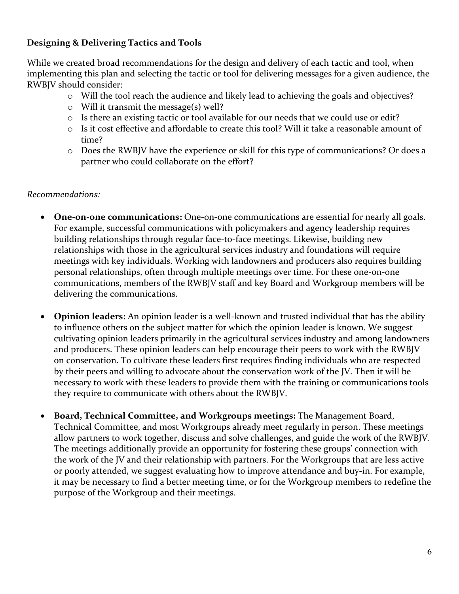## **Designing & Delivering Tactics and Tools**

While we created broad recommendations for the design and delivery of each tactic and tool, when implementing this plan and selecting the tactic or tool for delivering messages for a given audience, the RWBJV should consider:

- o Will the tool reach the audience and likely lead to achieving the goals and objectives?
- o Will it transmit the message(s) well?
- o Is there an existing tactic or tool available for our needs that we could use or edit?
- o Is it cost effective and affordable to create this tool? Will it take a reasonable amount of time?
- o Does the RWBJV have the experience or skill for this type of communications? Or does a partner who could collaborate on the effort?

#### *Recommendations:*

- **One-on-one communications:** One-on-one communications are essential for nearly all goals. For example, successful communications with policymakers and agency leadership requires building relationships through regular face-to-face meetings. Likewise, building new relationships with those in the agricultural services industry and foundations will require meetings with key individuals. Working with landowners and producers also requires building personal relationships, often through multiple meetings over time. For these one-on-one communications, members of the RWBJV staff and key Board and Workgroup members will be delivering the communications.
- **Opinion leaders:** An opinion leader is a well-known and trusted individual that has the ability to influence others on the subject matter for which the opinion leader is known. We suggest cultivating opinion leaders primarily in the agricultural services industry and among landowners and producers. These opinion leaders can help encourage their peers to work with the RWBJV on conservation. To cultivate these leaders first requires finding individuals who are respected by their peers and willing to advocate about the conservation work of the JV. Then it will be necessary to work with these leaders to provide them with the training or communications tools they require to communicate with others about the RWBJV.
- **Board, Technical Committee, and Workgroups meetings:** The Management Board, Technical Committee, and most Workgroups already meet regularly in person. These meetings allow partners to work together, discuss and solve challenges, and guide the work of the RWBJV. The meetings additionally provide an opportunity for fostering these groups' connection with the work of the JV and their relationship with partners. For the Workgroups that are less active or poorly attended, we suggest evaluating how to improve attendance and buy-in. For example, it may be necessary to find a better meeting time, or for the Workgroup members to redefine the purpose of the Workgroup and their meetings.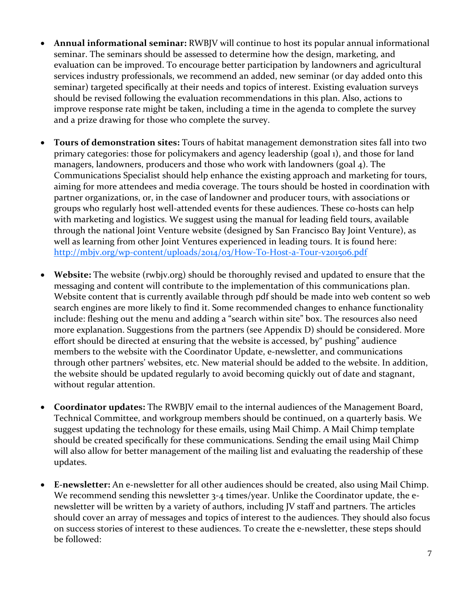- **Annual informational seminar:** RWBJV will continue to host its popular annual informational seminar. The seminars should be assessed to determine how the design, marketing, and evaluation can be improved. To encourage better participation by landowners and agricultural services industry professionals, we recommend an added, new seminar (or day added onto this seminar) targeted specifically at their needs and topics of interest. Existing evaluation surveys should be revised following the evaluation recommendations in this plan. Also, actions to improve response rate might be taken, including a time in the agenda to complete the survey and a prize drawing for those who complete the survey.
- **Tours of demonstration sites:** Tours of habitat management demonstration sites fall into two primary categories: those for policymakers and agency leadership (goal 1), and those for land managers, landowners, producers and those who work with landowners (goal 4). The Communications Specialist should help enhance the existing approach and marketing for tours, aiming for more attendees and media coverage. The tours should be hosted in coordination with partner organizations, or, in the case of landowner and producer tours, with associations or groups who regularly host well-attended events for these audiences. These co-hosts can help with marketing and logistics. We suggest using the manual for leading field tours, available through the national Joint Venture website (designed by San Francisco Bay Joint Venture), as well as learning from other Joint Ventures experienced in leading tours. It is found here: <http://mbjv.org/wp-content/uploads/2014/03/How-To-Host-a-Tour-v201506.pdf>
- **Website:** The website (rwbjv.org) should be thoroughly revised and updated to ensure that the messaging and content will contribute to the implementation of this communications plan. Website content that is currently available through pdf should be made into web content so web search engines are more likely to find it. Some recommended changes to enhance functionality include: fleshing out the menu and adding a "search within site" box. The resources also need more explanation. Suggestions from the partners (see Appendix D) should be considered. More effort should be directed at ensuring that the website is accessed, by" pushing" audience members to the website with the Coordinator Update, e-newsletter, and communications through other partners' websites, etc. New material should be added to the website. In addition, the website should be updated regularly to avoid becoming quickly out of date and stagnant, without regular attention.
- **Coordinator updates:** The RWBJV email to the internal audiences of the Management Board, Technical Committee, and workgroup members should be continued, on a quarterly basis. We suggest updating the technology for these emails, using Mail Chimp. A Mail Chimp template should be created specifically for these communications. Sending the email using Mail Chimp will also allow for better management of the mailing list and evaluating the readership of these updates.
- **E-newsletter:** An e-newsletter for all other audiences should be created, also using Mail Chimp. We recommend sending this newsletter 3-4 times/year. Unlike the Coordinator update, the enewsletter will be written by a variety of authors, including JV staff and partners. The articles should cover an array of messages and topics of interest to the audiences. They should also focus on success stories of interest to these audiences. To create the e-newsletter, these steps should be followed: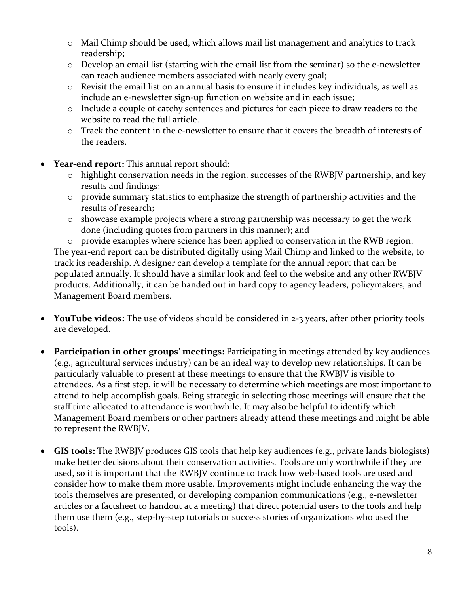- o Mail Chimp should be used, which allows mail list management and analytics to track readership;
- o Develop an email list (starting with the email list from the seminar) so the e-newsletter can reach audience members associated with nearly every goal;
- o Revisit the email list on an annual basis to ensure it includes key individuals, as well as include an e-newsletter sign-up function on website and in each issue;
- o Include a couple of catchy sentences and pictures for each piece to draw readers to the website to read the full article.
- $\circ$  Track the content in the e-newsletter to ensure that it covers the breadth of interests of the readers.
- **Year-end report:** This annual report should:
	- o highlight conservation needs in the region, successes of the RWBJV partnership, and key results and findings;
	- o provide summary statistics to emphasize the strength of partnership activities and the results of research;
	- o showcase example projects where a strong partnership was necessary to get the work done (including quotes from partners in this manner); and

o provide examples where science has been applied to conservation in the RWB region. The year-end report can be distributed digitally using Mail Chimp and linked to the website, to track its readership. A designer can develop a template for the annual report that can be populated annually. It should have a similar look and feel to the website and any other RWBJV products. Additionally, it can be handed out in hard copy to agency leaders, policymakers, and Management Board members.

- **YouTube videos:** The use of videos should be considered in 2-3 years, after other priority tools are developed.
- **Participation in other groups' meetings:** Participating in meetings attended by key audiences (e.g., agricultural services industry) can be an ideal way to develop new relationships. It can be particularly valuable to present at these meetings to ensure that the RWBJV is visible to attendees. As a first step, it will be necessary to determine which meetings are most important to attend to help accomplish goals. Being strategic in selecting those meetings will ensure that the staff time allocated to attendance is worthwhile. It may also be helpful to identify which Management Board members or other partners already attend these meetings and might be able to represent the RWBJV.
- **GIS tools:** The RWBJV produces GIS tools that help key audiences (e.g., private lands biologists) make better decisions about their conservation activities. Tools are only worthwhile if they are used, so it is important that the RWBJV continue to track how web-based tools are used and consider how to make them more usable. Improvements might include enhancing the way the tools themselves are presented, or developing companion communications (e.g., e-newsletter articles or a factsheet to handout at a meeting) that direct potential users to the tools and help them use them (e.g., step-by-step tutorials or success stories of organizations who used the tools).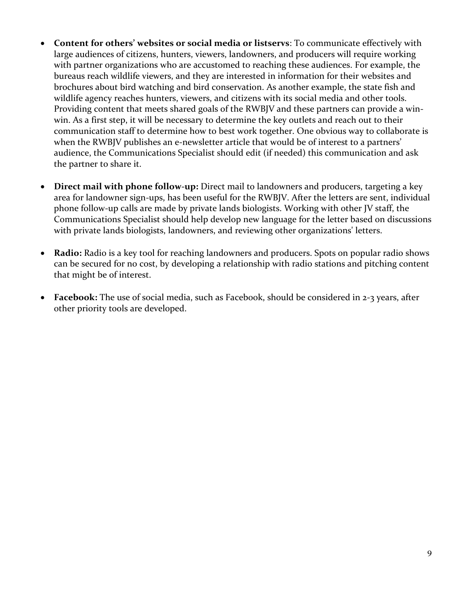- **Content for others' websites or social media or listservs**: To communicate effectively with large audiences of citizens, hunters, viewers, landowners, and producers will require working with partner organizations who are accustomed to reaching these audiences. For example, the bureaus reach wildlife viewers, and they are interested in information for their websites and brochures about bird watching and bird conservation. As another example, the state fish and wildlife agency reaches hunters, viewers, and citizens with its social media and other tools. Providing content that meets shared goals of the RWBJV and these partners can provide a winwin. As a first step, it will be necessary to determine the key outlets and reach out to their communication staff to determine how to best work together. One obvious way to collaborate is when the RWBJV publishes an e-newsletter article that would be of interest to a partners' audience, the Communications Specialist should edit (if needed) this communication and ask the partner to share it.
- **Direct mail with phone follow-up:** Direct mail to landowners and producers, targeting a key area for landowner sign-ups, has been useful for the RWBJV. After the letters are sent, individual phone follow-up calls are made by private lands biologists. Working with other JV staff, the Communications Specialist should help develop new language for the letter based on discussions with private lands biologists, landowners, and reviewing other organizations' letters.
- **Radio:** Radio is a key tool for reaching landowners and producers. Spots on popular radio shows can be secured for no cost, by developing a relationship with radio stations and pitching content that might be of interest.
- **Facebook:** The use of social media, such as Facebook, should be considered in 2-3 years, after other priority tools are developed.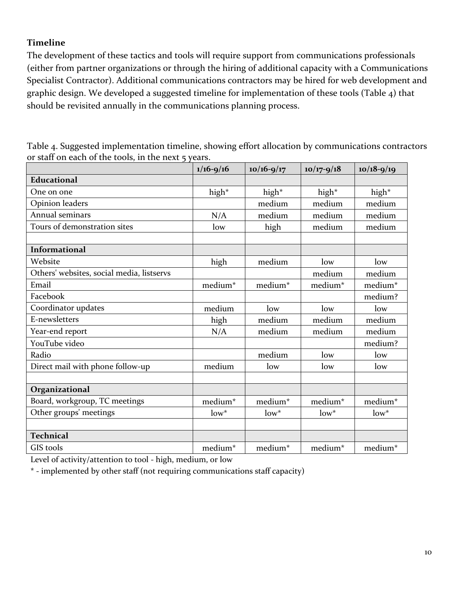# <span id="page-13-0"></span>**Timeline**

The development of these tactics and tools will require support from communications professionals (either from partner organizations or through the hiring of additional capacity with a Communications Specialist Contractor). Additional communications contractors may be hired for web development and graphic design. We developed a suggested timeline for implementation of these tools (Table 4) that should be revisited annually in the communications planning process.

| Table 4. Suggested implementation timeline, showing effort allocation by communications contractors |  |
|-----------------------------------------------------------------------------------------------------|--|
| or staff on each of the tools, in the next 5 years.                                                 |  |

|                                           | $1/16 - 9/16$       | $10/16 - 9/17$      | $10/17 - 9/18$ | $10/18 - 9/19$ |
|-------------------------------------------|---------------------|---------------------|----------------|----------------|
| <b>Educational</b>                        |                     |                     |                |                |
| One on one                                | high*               | high*               | high*          | high*          |
| Opinion leaders                           |                     | medium              | medium         | medium         |
| Annual seminars                           | N/A                 | medium              | medium         | medium         |
| Tours of demonstration sites              | low                 | high                | medium         | medium         |
|                                           |                     |                     |                |                |
| <b>Informational</b>                      |                     |                     |                |                |
| Website                                   | high                | medium              | low            | low            |
| Others' websites, social media, listservs |                     |                     | medium         | medium         |
| Email                                     | medium*             | medium*             | medium*        | medium*        |
| Facebook                                  |                     |                     |                | medium?        |
| Coordinator updates                       | medium              | low                 | low            | low            |
| E-newsletters                             | high                | medium              | medium         | medium         |
| Year-end report                           | N/A                 | medium              | medium         | medium         |
| YouTube video                             |                     |                     |                | medium?        |
| Radio                                     |                     | medium              | low            | low            |
| Direct mail with phone follow-up          | medium              | low                 | low            | low            |
|                                           |                     |                     |                |                |
| Organizational                            |                     |                     |                |                |
| Board, workgroup, TC meetings             | medium <sup>*</sup> | medium <sup>*</sup> | medium*        | medium*        |
| Other groups' meetings                    | $low^*$             | $low^*$             | $low^*$        | $low^*$        |
|                                           |                     |                     |                |                |
| <b>Technical</b>                          |                     |                     |                |                |
| GIS tools                                 | medium*             | medium*             | medium*        | medium*        |

Level of activity/attention to tool - high, medium, or low

\* - implemented by other staff (not requiring communications staff capacity)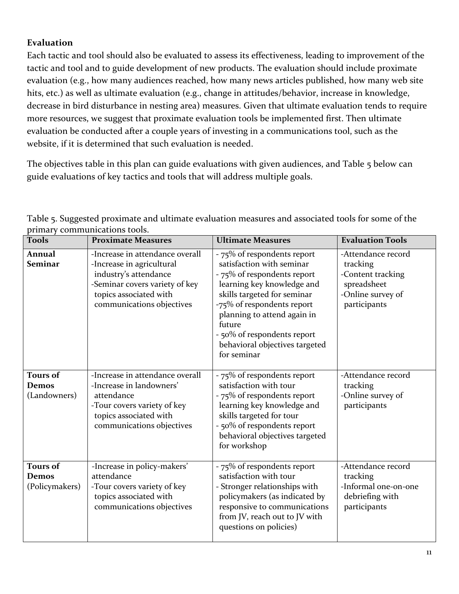# <span id="page-14-0"></span>**Evaluation**

Each tactic and tool should also be evaluated to assess its effectiveness, leading to improvement of the tactic and tool and to guide development of new products. The evaluation should include proximate evaluation (e.g., how many audiences reached, how many news articles published, how many web site hits, etc.) as well as ultimate evaluation (e.g., change in attitudes/behavior, increase in knowledge, decrease in bird disturbance in nesting area) measures. Given that ultimate evaluation tends to require more resources, we suggest that proximate evaluation tools be implemented first. Then ultimate evaluation be conducted after a couple years of investing in a communications tool, such as the website, if it is determined that such evaluation is needed.

The objectives table in this plan can guide evaluations with given audiences, and Table 5 below can guide evaluations of key tactics and tools that will address multiple goals.

| <b>Tools</b>                                      | <b>Proximate Measures</b>                                                                                                                                                      | <b>Ultimate Measures</b>                                                                                                                                                                                                                                                                                    | <b>Evaluation Tools</b>                                                                                 |
|---------------------------------------------------|--------------------------------------------------------------------------------------------------------------------------------------------------------------------------------|-------------------------------------------------------------------------------------------------------------------------------------------------------------------------------------------------------------------------------------------------------------------------------------------------------------|---------------------------------------------------------------------------------------------------------|
| Annual<br><b>Seminar</b>                          | -Increase in attendance overall<br>-Increase in agricultural<br>industry's attendance<br>-Seminar covers variety of key<br>topics associated with<br>communications objectives | - 75% of respondents report<br>satisfaction with seminar<br>- 75% of respondents report<br>learning key knowledge and<br>skills targeted for seminar<br>-75% of respondents report<br>planning to attend again in<br>future<br>- 50% of respondents report<br>behavioral objectives targeted<br>for seminar | -Attendance record<br>tracking<br>-Content tracking<br>spreadsheet<br>-Online survey of<br>participants |
| <b>Tours of</b><br>Demos<br>(Landowners)          | -Increase in attendance overall<br>-Increase in landowners'<br>attendance<br>-Tour covers variety of key<br>topics associated with<br>communications objectives                | - 75% of respondents report<br>satisfaction with tour<br>- 75% of respondents report<br>learning key knowledge and<br>skills targeted for tour<br>- 50% of respondents report<br>behavioral objectives targeted<br>for workshop                                                                             | -Attendance record<br>tracking<br>-Online survey of<br>participants                                     |
| <b>Tours of</b><br><b>Demos</b><br>(Policymakers) | -Increase in policy-makers'<br>attendance<br>-Tour covers variety of key<br>topics associated with<br>communications objectives                                                | - 75% of respondents report<br>satisfaction with tour<br>- Stronger relationships with<br>policymakers (as indicated by<br>responsive to communications<br>from JV, reach out to JV with<br>questions on policies)                                                                                          | -Attendance record<br>tracking<br>-Informal one-on-one<br>debriefing with<br>participants               |

Table 5. Suggested proximate and ultimate evaluation measures and associated tools for some of the primary communications tools.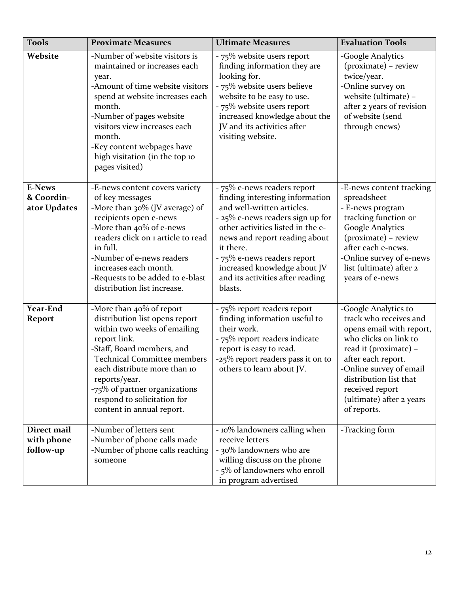| <b>Tools</b>                                | <b>Proximate Measures</b>                                                                                                                                                                                                                                                                                                    | <b>Ultimate Measures</b>                                                                                                                                                                                                                                                                                                          | <b>Evaluation Tools</b>                                                                                                                                                                                                                                               |
|---------------------------------------------|------------------------------------------------------------------------------------------------------------------------------------------------------------------------------------------------------------------------------------------------------------------------------------------------------------------------------|-----------------------------------------------------------------------------------------------------------------------------------------------------------------------------------------------------------------------------------------------------------------------------------------------------------------------------------|-----------------------------------------------------------------------------------------------------------------------------------------------------------------------------------------------------------------------------------------------------------------------|
| Website                                     | -Number of website visitors is<br>maintained or increases each<br>year.<br>-Amount of time website visitors<br>spend at website increases each<br>month.<br>-Number of pages website<br>visitors view increases each<br>month.<br>-Key content webpages have<br>high visitation (in the top 10<br>pages visited)             | - 75% website users report<br>finding information they are<br>looking for.<br>- 75% website users believe<br>website to be easy to use.<br>- 75% website users report<br>increased knowledge about the<br>JV and its activities after<br>visiting website.                                                                        | -Google Analytics<br>(proximate) – review<br>twice/year.<br>-Online survey on<br>website (ultimate) -<br>after 2 years of revision<br>of website (send<br>through enews)                                                                                              |
| <b>E-News</b><br>& Coordin-<br>ator Updates | -E-news content covers variety<br>of key messages<br>-More than 30% (JV average) of<br>recipients open e-news<br>-More than 40% of e-news<br>readers click on 1 article to read<br>in full.<br>-Number of e-news readers<br>increases each month.<br>-Requests to be added to e-blast<br>distribution list increase.         | - 75% e-news readers report<br>finding interesting information<br>and well-written articles.<br>- 25% e-news readers sign up for<br>other activities listed in the e-<br>news and report reading about<br>it there.<br>- 75% e-news readers report<br>increased knowledge about JV<br>and its activities after reading<br>blasts. | -E-news content tracking<br>spreadsheet<br>- E-news program<br>tracking function or<br><b>Google Analytics</b><br>(proximate) - review<br>after each e-news.<br>-Online survey of e-news<br>list (ultimate) after 2<br>years of e-news                                |
| <b>Year-End</b><br><b>Report</b>            | -More than 40% of report<br>distribution list opens report<br>within two weeks of emailing<br>report link.<br>-Staff, Board members, and<br><b>Technical Committee members</b><br>each distribute more than 10<br>reports/year.<br>-75% of partner organizations<br>respond to solicitation for<br>content in annual report. | - 75% report readers report<br>finding information useful to<br>their work.<br>- 75% report readers indicate<br>report is easy to read.<br>-25% report readers pass it on to<br>others to learn about JV.                                                                                                                         | -Google Analytics to<br>track who receives and<br>opens email with report,<br>who clicks on link to<br>read it (proximate) -<br>after each report.<br>-Online survey of email<br>distribution list that<br>received report<br>(ultimate) after 2 years<br>of reports. |
| Direct mail<br>with phone<br>follow-up      | -Number of letters sent<br>-Number of phone calls made<br>-Number of phone calls reaching<br>someone                                                                                                                                                                                                                         | - 10% landowners calling when<br>receive letters<br>- 30% landowners who are<br>willing discuss on the phone<br>- 5% of landowners who enroll<br>in program advertised                                                                                                                                                            | -Tracking form                                                                                                                                                                                                                                                        |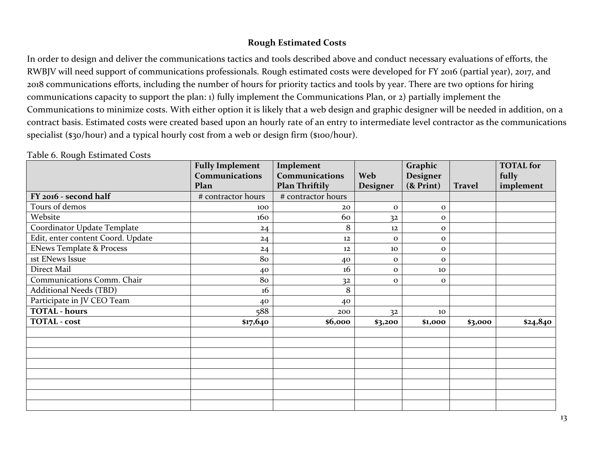#### **Rough Estimated Costs**

In order to design and deliver the communications tactics and tools described above and conduct necessary evaluations of efforts, the RWBJV will need support of communications professionals. Rough estimated costs were developed for FY 2016 (partial year), 2017, and 2018 communications efforts, including the number of hours for priority tactics and tools by year. There are two options for hiring communications capacity to support the plan: 1) fully implement the Communications Plan, or 2) partially implement the Communications to minimize costs. With either option it is likely that a web design and graphic designer will be needed in addition, on a contract basis. Estimated costs were created based upon an hourly rate of an entry to intermediate level contractor as the communications specialist (\$30/hour) and a typical hourly cost from a web or design firm (\$100/hour).

<span id="page-16-0"></span>

|                                     | <b>Fully Implement</b> | Implement             |              | Graphic         |               | <b>TOTAL</b> for |
|-------------------------------------|------------------------|-----------------------|--------------|-----------------|---------------|------------------|
|                                     | <b>Communications</b>  | <b>Communications</b> | <b>Web</b>   | Designer        |               | fully            |
|                                     | Plan                   | <b>Plan Thriftily</b> | Designer     | $($ & Print $)$ | <b>Travel</b> | implement        |
| FY 2016 - second half               | # contractor hours     | # contractor hours    |              |                 |               |                  |
| Tours of demos                      | 100                    | 20                    | $\mathbf{o}$ | $\mathbf{o}$    |               |                  |
| Website                             | 160                    | 60                    | 32           | $\mathbf{o}$    |               |                  |
| Coordinator Update Template         | 24                     | 8                     | 12           | $\mathbf 0$     |               |                  |
| Edit, enter content Coord. Update   | 24                     | 12                    | $\mathbf{o}$ | $\mathbf{o}$    |               |                  |
| <b>ENews Template &amp; Process</b> | 24                     | 12                    | 10           | $\mathbf{o}$    |               |                  |
| <b>1st ENews Issue</b>              | 80                     | 40                    | $\mathbf{o}$ | $\mathbf{o}$    |               |                  |
| Direct Mail                         | 40                     | 16                    | $\mathbf{o}$ | 10              |               |                  |
| Communications Comm. Chair          | 80                     | 3 <sup>2</sup>        | $\mathbf{o}$ | $\mathbf{o}$    |               |                  |
| <b>Additional Needs (TBD)</b>       | 16                     | 8                     |              |                 |               |                  |
| Participate in JV CEO Team          | 40                     | 40                    |              |                 |               |                  |
| <b>TOTAL - hours</b>                | 588                    | 200                   | 32           | 10              |               |                  |
| <b>TOTAL</b> - cost                 | \$17,640               | \$6,000               | \$3,200      | \$1,000         | \$3,000       | \$24,840         |
|                                     |                        |                       |              |                 |               |                  |
|                                     |                        |                       |              |                 |               |                  |
|                                     |                        |                       |              |                 |               |                  |
|                                     |                        |                       |              |                 |               |                  |
|                                     |                        |                       |              |                 |               |                  |
|                                     |                        |                       |              |                 |               |                  |
|                                     |                        |                       |              |                 |               |                  |

Table 6. Rough Estimated Costs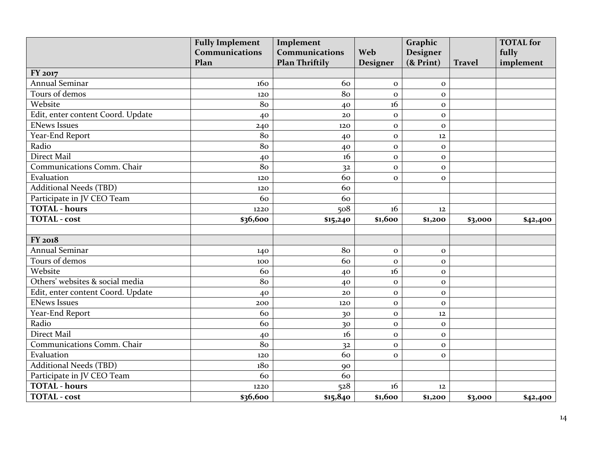|                                   | <b>Fully Implement</b><br>Implement |                       | Graphic      |                 |               | <b>TOTAL</b> for |
|-----------------------------------|-------------------------------------|-----------------------|--------------|-----------------|---------------|------------------|
|                                   | Communications                      | Communications        | Web          | Designer        |               | fully            |
|                                   | Plan                                | <b>Plan Thriftily</b> | Designer     | $($ & Print $)$ | <b>Travel</b> | implement        |
| FY 2017                           |                                     |                       |              |                 |               |                  |
| <b>Annual Seminar</b>             | 160                                 | 60                    | $\mathbf{o}$ | $\mathbf{O}$    |               |                  |
| Tours of demos                    | 120                                 | 80                    | $\Omega$     | $\mathbf{o}$    |               |                  |
| Website                           | 80                                  | 40                    | 16           | $\mathbf{o}$    |               |                  |
| Edit, enter content Coord. Update | 40                                  | 20                    | $\mathbf{O}$ | $\mathbf{o}$    |               |                  |
| <b>ENews Issues</b>               | 240                                 | 120                   | $\mathbf{o}$ | $\mathbf{o}$    |               |                  |
| Year-End Report                   | 80                                  | 40                    | $\mathbf{o}$ | 12              |               |                  |
| Radio                             | 80                                  | 40                    | $\mathbf{o}$ | $\mathbf{o}$    |               |                  |
| <b>Direct Mail</b>                | 40                                  | 16                    | $\mathbf{O}$ | $\mathbf 0$     |               |                  |
| Communications Comm. Chair        | 80                                  | 3 <sup>2</sup>        | $\mathbf{O}$ | $\mathbf{o}$    |               |                  |
| Evaluation                        | 120                                 | 60                    | $\Omega$     | $\mathbf{O}$    |               |                  |
| <b>Additional Needs (TBD)</b>     | 120                                 | 60                    |              |                 |               |                  |
| Participate in JV CEO Team        | 60                                  | 60                    |              |                 |               |                  |
| <b>TOTAL - hours</b>              | 1220                                | 508                   | 16           | 12              |               |                  |
| <b>TOTAL</b> - cost               | \$36,600                            | \$15,240              | \$1,600      | \$1,200         | \$3,000       | \$42,400         |
|                                   |                                     |                       |              |                 |               |                  |
| FY 2018                           |                                     |                       |              |                 |               |                  |
| Annual Seminar                    | 140                                 | 80                    | $\mathbf 0$  | $\mathbf 0$     |               |                  |
| Tours of demos                    | 100                                 | 60                    | $\mathbf{o}$ | $\mathbf{O}$    |               |                  |
| Website                           | 60                                  | 40                    | 16           | $\mathbf{O}$    |               |                  |
| Others' websites & social media   | 80                                  | 40                    | $\mathbf{O}$ | $\mathbf 0$     |               |                  |
| Edit, enter content Coord. Update | 40                                  | 20                    | $\mathbf{O}$ | $\mathbf{o}$    |               |                  |
| <b>ENews Issues</b>               | 200                                 | 120                   | $\mathbf{o}$ | $\mathbf{O}$    |               |                  |
| Year-End Report                   | 60                                  | 30                    | $\mathbf{o}$ | 12              |               |                  |
| Radio                             | 60                                  | 30                    | $\mathbf{o}$ | $\mathbf{o}$    |               |                  |
| <b>Direct Mail</b>                | 40                                  | 16                    | $\mathbf{o}$ | $\mathbf{o}$    |               |                  |
| Communications Comm. Chair        | 80                                  | 3 <sup>2</sup>        | $\mathbf{o}$ | $\mathbf{o}$    |               |                  |
| Evaluation                        | 120                                 | 60                    | $\mathbf{o}$ | $\mathbf{o}$    |               |                  |
| <b>Additional Needs (TBD)</b>     | 180                                 | 90                    |              |                 |               |                  |
| Participate in JV CEO Team        | 60                                  | 60                    |              |                 |               |                  |
| <b>TOTAL - hours</b>              | 1220                                | 528                   | 16           | 12              |               |                  |
| <b>TOTAL</b> - cost               | \$36,600                            | \$15,840              | \$1,600      | \$1,200         | \$3,000       | \$42,400         |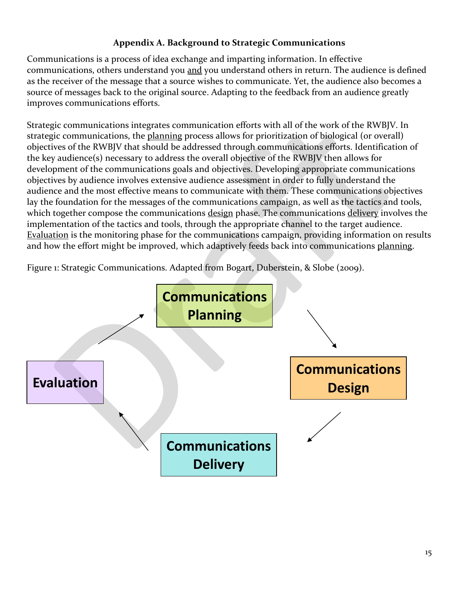# **Appendix A. Background to Strategic Communications**

<span id="page-18-0"></span>Communications is a process of idea exchange and imparting information. In effective communications, others understand you and you understand others in return. The audience is defined as the receiver of the message that a source wishes to communicate. Yet, the audience also becomes a source of messages back to the original source. Adapting to the feedback from an audience greatly improves communications efforts.

Strategic communications integrates communication efforts with all of the work of the RWBJV. In strategic communications, the planning process allows for prioritization of biological (or overall) objectives of the RWBJV that should be addressed through communications efforts. Identification of the key audience(s) necessary to address the overall objective of the RWBJV then allows for development of the communications goals and objectives. Developing appropriate communications objectives by audience involves extensive audience assessment in order to fully understand the audience and the most effective means to communicate with them. These communications objectives lay the foundation for the messages of the communications campaign, as well as the tactics and tools, which together compose the communications design phase. The communications delivery involves the implementation of the tactics and tools, through the appropriate channel to the target audience. Evaluation is the monitoring phase for the communications campaign, providing information on results and how the effort might be improved, which adaptively feeds back into communications planning.

Figure 1: Strategic Communications. Adapted from Bogart, Duberstein, & Slobe (2009).

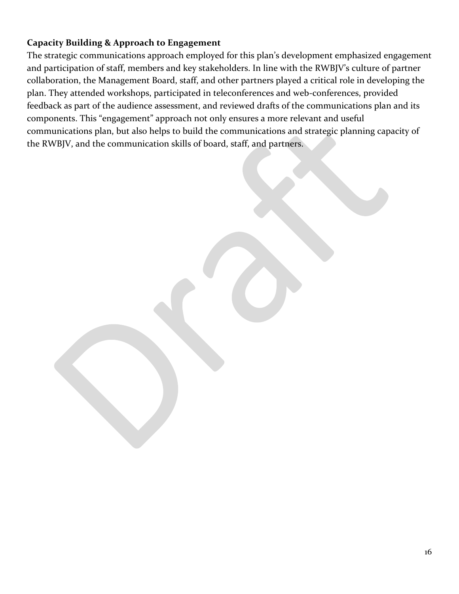# <span id="page-19-0"></span>**Capacity Building & Approach to Engagement**

The strategic communications approach employed for this plan's development emphasized engagement and participation of staff, members and key stakeholders. In line with the RWBJV's culture of partner collaboration, the Management Board, staff, and other partners played a critical role in developing the plan. They attended workshops, participated in teleconferences and web-conferences, provided feedback as part of the audience assessment, and reviewed drafts of the communications plan and its components. This "engagement" approach not only ensures a more relevant and useful communications plan, but also helps to build the communications and strategic planning capacity of the RWBJV, and the communication skills of board, staff, and partners.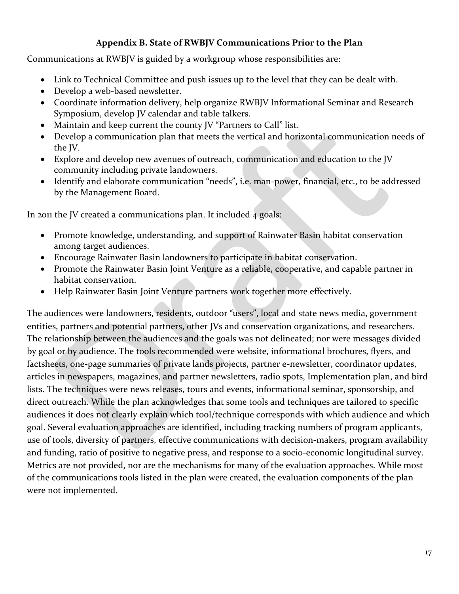#### **Appendix B. State of RWBJV Communications Prior to the Plan**

<span id="page-20-0"></span>Communications at RWBJV is guided by a workgroup whose responsibilities are:

- Link to Technical Committee and push issues up to the level that they can be dealt with.
- Develop a web-based newsletter.
- Coordinate information delivery, help organize RWBJV Informational Seminar and Research Symposium, develop JV calendar and table talkers.
- Maintain and keep current the county JV "Partners to Call" list.
- Develop a communication plan that meets the vertical and horizontal communication needs of the JV.
- Explore and develop new avenues of outreach, communication and education to the JV community including private landowners.
- Identify and elaborate communication "needs", i.e. man-power, financial, etc., to be addressed by the Management Board.

In 2011 the JV created a communications plan. It included 4 goals:

- Promote knowledge, understanding, and support of Rainwater Basin habitat conservation among target audiences.
- Encourage Rainwater Basin landowners to participate in habitat conservation.
- Promote the Rainwater Basin Joint Venture as a reliable, cooperative, and capable partner in habitat conservation.
- Help Rainwater Basin Joint Venture partners work together more effectively.

The audiences were landowners, residents, outdoor "users", local and state news media, government entities, partners and potential partners, other JVs and conservation organizations, and researchers. The relationship between the audiences and the goals was not delineated; nor were messages divided by goal or by audience. The tools recommended were website, informational brochures, flyers, and factsheets, one-page summaries of private lands projects, partner e-newsletter, coordinator updates, articles in newspapers, magazines, and partner newsletters, radio spots, Implementation plan, and bird lists. The techniques were news releases, tours and events, informational seminar, sponsorship, and direct outreach. While the plan acknowledges that some tools and techniques are tailored to specific audiences it does not clearly explain which tool/technique corresponds with which audience and which goal. Several evaluation approaches are identified, including tracking numbers of program applicants, use of tools, diversity of partners, effective communications with decision-makers, program availability and funding, ratio of positive to negative press, and response to a socio-economic longitudinal survey. Metrics are not provided, nor are the mechanisms for many of the evaluation approaches. While most of the communications tools listed in the plan were created, the evaluation components of the plan were not implemented.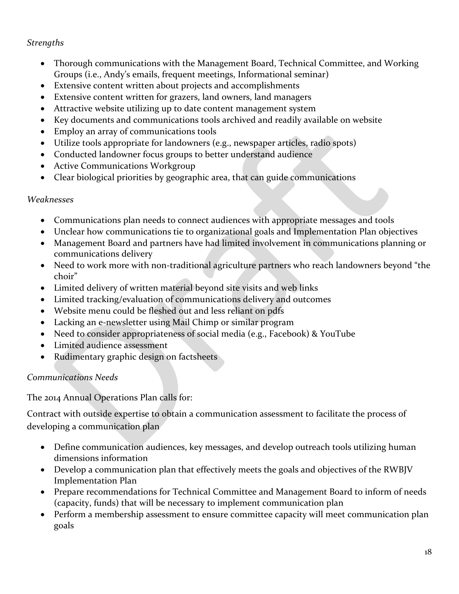# *Strengths*

- Thorough communications with the Management Board, Technical Committee, and Working Groups (i.e., Andy's emails, frequent meetings, Informational seminar)
- Extensive content written about projects and accomplishments
- Extensive content written for grazers, land owners, land managers
- Attractive website utilizing up to date content management system
- Key documents and communications tools archived and readily available on website
- Employ an array of communications tools
- Utilize tools appropriate for landowners (e.g., newspaper articles, radio spots)
- Conducted landowner focus groups to better understand audience
- Active Communications Workgroup
- Clear biological priorities by geographic area, that can guide communications

# *Weaknesses*

- Communications plan needs to connect audiences with appropriate messages and tools
- Unclear how communications tie to organizational goals and Implementation Plan objectives
- Management Board and partners have had limited involvement in communications planning or communications delivery
- Need to work more with non-traditional agriculture partners who reach landowners beyond "the choir"
- Limited delivery of written material beyond site visits and web links
- Limited tracking/evaluation of communications delivery and outcomes
- Website menu could be fleshed out and less reliant on pdfs
- Lacking an e-newsletter using Mail Chimp or similar program
- Need to consider appropriateness of social media (e.g., Facebook) & YouTube
- Limited audience assessment
- Rudimentary graphic design on factsheets

# *Communications Needs*

The 2014 Annual Operations Plan calls for:

Contract with outside expertise to obtain a communication assessment to facilitate the process of developing a communication plan

- Define communication audiences, key messages, and develop outreach tools utilizing human dimensions information
- Develop a communication plan that effectively meets the goals and objectives of the RWBJV Implementation Plan
- Prepare recommendations for Technical Committee and Management Board to inform of needs (capacity, funds) that will be necessary to implement communication plan
- Perform a membership assessment to ensure committee capacity will meet communication plan goals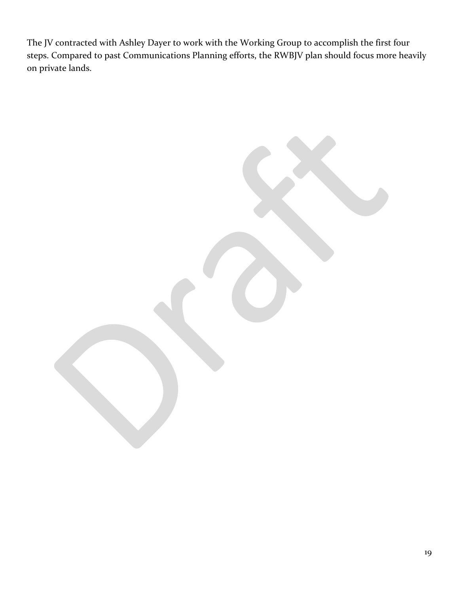The JV contracted with Ashley Dayer to work with the Working Group to accomplish the first four steps. Compared to past Communications Planning efforts, the RWBJV plan should focus more heavily on private lands.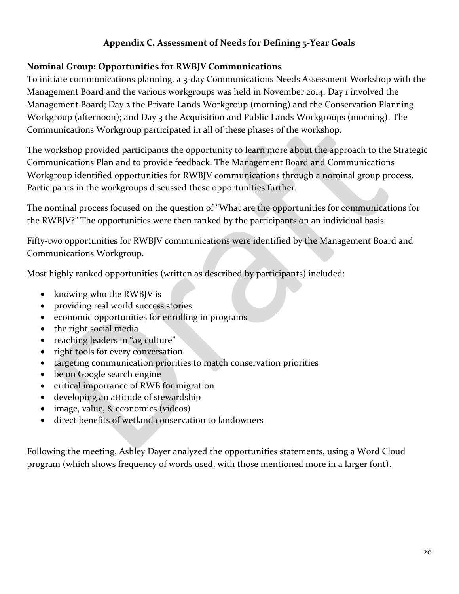# **Appendix C. Assessment of Needs for Defining 5-Year Goals**

#### <span id="page-23-1"></span><span id="page-23-0"></span>**Nominal Group: Opportunities for RWBJV Communications**

To initiate communications planning, a 3-day Communications Needs Assessment Workshop with the Management Board and the various workgroups was held in November 2014. Day 1 involved the Management Board; Day 2 the Private Lands Workgroup (morning) and the Conservation Planning Workgroup (afternoon); and Day 3 the Acquisition and Public Lands Workgroups (morning). The Communications Workgroup participated in all of these phases of the workshop.

The workshop provided participants the opportunity to learn more about the approach to the Strategic Communications Plan and to provide feedback. The Management Board and Communications Workgroup identified opportunities for RWBJV communications through a nominal group process. Participants in the workgroups discussed these opportunities further.

The nominal process focused on the question of "What are the opportunities for communications for the RWBJV?" The opportunities were then ranked by the participants on an individual basis.

Fifty-two opportunities for RWBJV communications were identified by the Management Board and Communications Workgroup.

Most highly ranked opportunities (written as described by participants) included:

- knowing who the RWBJV is
- providing real world success stories
- economic opportunities for enrolling in programs
- the right social media
- reaching leaders in "ag culture"
- right tools for every conversation
- targeting communication priorities to match conservation priorities
- be on Google search engine
- critical importance of RWB for migration
- developing an attitude of stewardship
- image, value, & economics (videos)
- direct benefits of wetland conservation to landowners

Following the meeting, Ashley Dayer analyzed the opportunities statements, using a Word Cloud program (which shows frequency of words used, with those mentioned more in a larger font).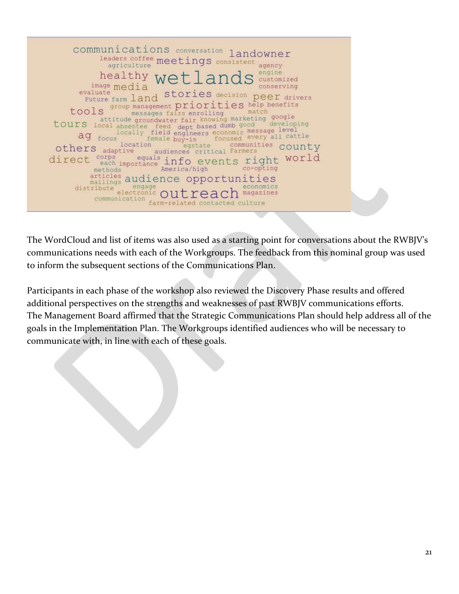

The WordCloud and list of items was also used as a starting point for conversations about the RWBJV's communications needs with each of the Workgroups. The feedback from this nominal group was used to inform the subsequent sections of the Communications Plan.

Participants in each phase of the workshop also reviewed the Discovery Phase results and offered additional perspectives on the strengths and weaknesses of past RWBJV communications efforts. The Management Board affirmed that the Strategic Communications Plan should help address all of the goals in the Implementation Plan. The Workgroups identified audiences who will be necessary to communicate with, in line with each of these goals.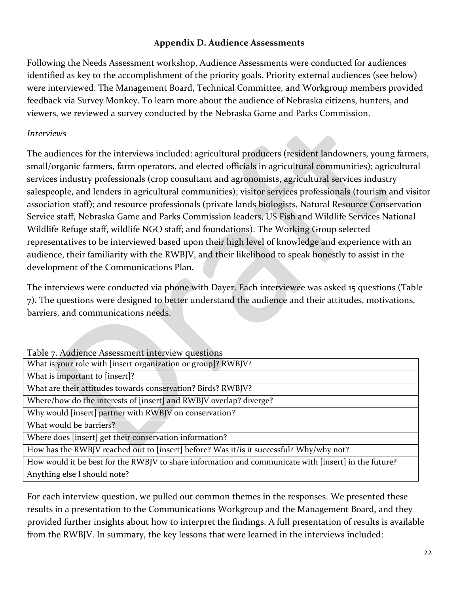#### **Appendix D. Audience Assessments**

Following the Needs Assessment workshop, Audience Assessments were conducted for audiences identified as key to the accomplishment of the priority goals. Priority external audiences (see below) were interviewed. The Management Board, Technical Committee, and Workgroup members provided feedback via Survey Monkey. To learn more about the audience of Nebraska citizens, hunters, and viewers, we reviewed a survey conducted by the Nebraska Game and Parks Commission.

#### *Interviews*

The audiences for the interviews included: agricultural producers (resident landowners, young farmers, small/organic farmers, farm operators, and elected officials in agricultural communities); agricultural services industry professionals (crop consultant and agronomists, agricultural services industry salespeople, and lenders in agricultural communities); visitor services professionals (tourism and visitor association staff); and resource professionals (private lands biologists, Natural Resource Conservation Service staff, Nebraska Game and Parks Commission leaders, US Fish and Wildlife Services National Wildlife Refuge staff, wildlife NGO staff; and foundations). The Working Group selected representatives to be interviewed based upon their high level of knowledge and experience with an audience, their familiarity with the RWBJV, and their likelihood to speak honestly to assist in the development of the Communications Plan.

The interviews were conducted via phone with Dayer. Each interviewee was asked 15 questions (Table 7). The questions were designed to better understand the audience and their attitudes, motivations, barriers, and communications needs.

| Table 7. Audience Assessment interview questions                                                     |
|------------------------------------------------------------------------------------------------------|
| What is your role with [insert organization or group]? RWBJV?                                        |
| What is important to [insert]?                                                                       |
| What are their attitudes towards conservation? Birds? RWBJV?                                         |
| Where/how do the interests of [insert] and RWBJV overlap? diverge?                                   |
| Why would [insert] partner with RWBJV on conservation?                                               |
| What would be barriers?                                                                              |
| Where does [insert] get their conservation information?                                              |
| How has the RWBJV reached out to [insert] before? Was it/is it successful? Why/why not?              |
| How would it be best for the RWBJV to share information and communicate with [insert] in the future? |
| Anything else I should note?                                                                         |

For each interview question, we pulled out common themes in the responses. We presented these results in a presentation to the Communications Workgroup and the Management Board, and they provided further insights about how to interpret the findings. A full presentation of results is available from the RWBJV. In summary, the key lessons that were learned in the interviews included: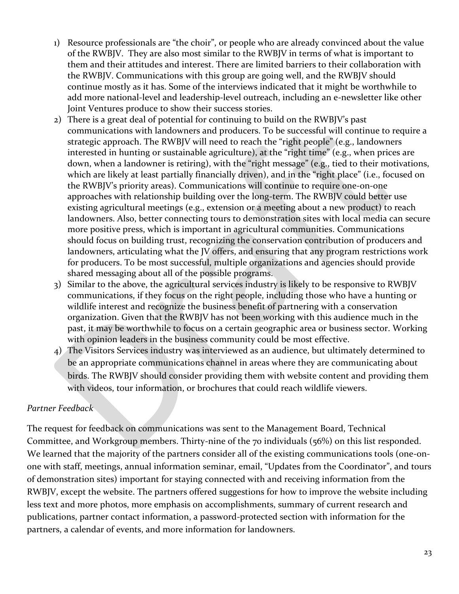- 1) Resource professionals are "the choir", or people who are already convinced about the value of the RWBJV. They are also most similar to the RWBJV in terms of what is important to them and their attitudes and interest. There are limited barriers to their collaboration with the RWBJV. Communications with this group are going well, and the RWBJV should continue mostly as it has. Some of the interviews indicated that it might be worthwhile to add more national-level and leadership-level outreach, including an e-newsletter like other Joint Ventures produce to show their success stories.
- 2) There is a great deal of potential for continuing to build on the RWBJV's past communications with landowners and producers. To be successful will continue to require a strategic approach. The RWBJV will need to reach the "right people" (e.g., landowners interested in hunting or sustainable agriculture), at the "right time" (e.g., when prices are down, when a landowner is retiring), with the "right message" (e.g., tied to their motivations, which are likely at least partially financially driven), and in the "right place" (i.e., focused on the RWBJV's priority areas). Communications will continue to require one-on-one approaches with relationship building over the long-term. The RWBJV could better use existing agricultural meetings (e.g., extension or a meeting about a new product) to reach landowners. Also, better connecting tours to demonstration sites with local media can secure more positive press, which is important in agricultural communities. Communications should focus on building trust, recognizing the conservation contribution of producers and landowners, articulating what the JV offers, and ensuring that any program restrictions work for producers. To be most successful, multiple organizations and agencies should provide shared messaging about all of the possible programs.
- 3) Similar to the above, the agricultural services industry is likely to be responsive to RWBJV communications, if they focus on the right people, including those who have a hunting or wildlife interest and recognize the business benefit of partnering with a conservation organization. Given that the RWBJV has not been working with this audience much in the past, it may be worthwhile to focus on a certain geographic area or business sector. Working with opinion leaders in the business community could be most effective.
- 4) The Visitors Services industry was interviewed as an audience, but ultimately determined to be an appropriate communications channel in areas where they are communicating about birds. The RWBJV should consider providing them with website content and providing them with videos, tour information, or brochures that could reach wildlife viewers.

# *Partner Feedback*

The request for feedback on communications was sent to the Management Board, Technical Committee, and Workgroup members. Thirty-nine of the 70 individuals (56%) on this list responded. We learned that the majority of the partners consider all of the existing communications tools (one-onone with staff, meetings, annual information seminar, email, "Updates from the Coordinator", and tours of demonstration sites) important for staying connected with and receiving information from the RWBJV, except the website. The partners offered suggestions for how to improve the website including less text and more photos, more emphasis on accomplishments, summary of current research and publications, partner contact information, a password-protected section with information for the partners, a calendar of events, and more information for landowners.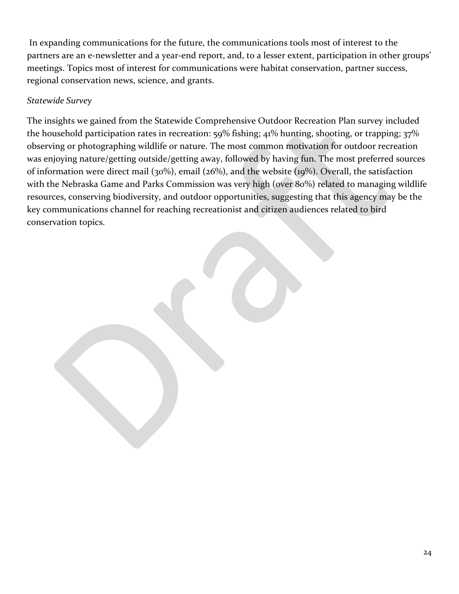In expanding communications for the future, the communications tools most of interest to the partners are an e-newsletter and a year-end report, and, to a lesser extent, participation in other groups' meetings. Topics most of interest for communications were habitat conservation, partner success, regional conservation news, science, and grants.

# *Statewide Survey*

The insights we gained from the Statewide Comprehensive Outdoor Recreation Plan survey included the household participation rates in recreation: 59% fishing; 41% hunting, shooting, or trapping; 37% observing or photographing wildlife or nature. The most common motivation for outdoor recreation was enjoying nature/getting outside/getting away, followed by having fun. The most preferred sources of information were direct mail (30%), email (26%), and the website (19%). Overall, the satisfaction with the Nebraska Game and Parks Commission was very high (over 80%) related to managing wildlife resources, conserving biodiversity, and outdoor opportunities, suggesting that this agency may be the key communications channel for reaching recreationist and citizen audiences related to bird conservation topics.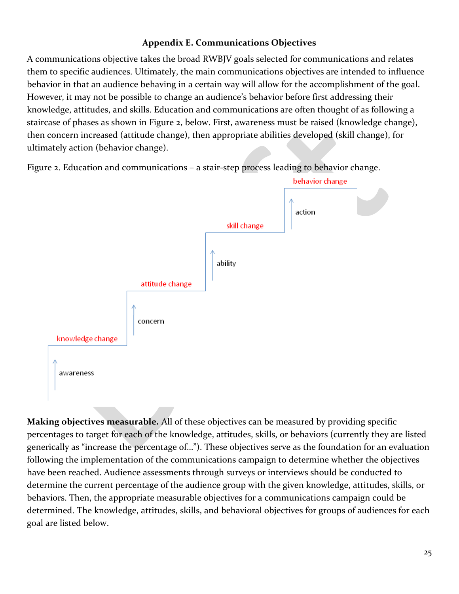## **Appendix E. Communications Objectives**

<span id="page-28-0"></span>A communications objective takes the broad RWBJV goals selected for communications and relates them to specific audiences. Ultimately, the main communications objectives are intended to influence behavior in that an audience behaving in a certain way will allow for the accomplishment of the goal. However, it may not be possible to change an audience's behavior before first addressing their knowledge, attitudes, and skills. Education and communications are often thought of as following a staircase of phases as shown in Figure 2, below. First, awareness must be raised (knowledge change), then concern increased (attitude change), then appropriate abilities developed (skill change), for ultimately action (behavior change).

Figure 2. Education and communications – a stair-step process leading to behavior change.



**Making objectives measurable.** All of these objectives can be measured by providing specific percentages to target for each of the knowledge, attitudes, skills, or behaviors (currently they are listed generically as "increase the percentage of…"). These objectives serve as the foundation for an evaluation following the implementation of the communications campaign to determine whether the objectives have been reached. Audience assessments through surveys or interviews should be conducted to determine the current percentage of the audience group with the given knowledge, attitudes, skills, or behaviors. Then, the appropriate measurable objectives for a communications campaign could be determined. The knowledge, attitudes, skills, and behavioral objectives for groups of audiences for each goal are listed below.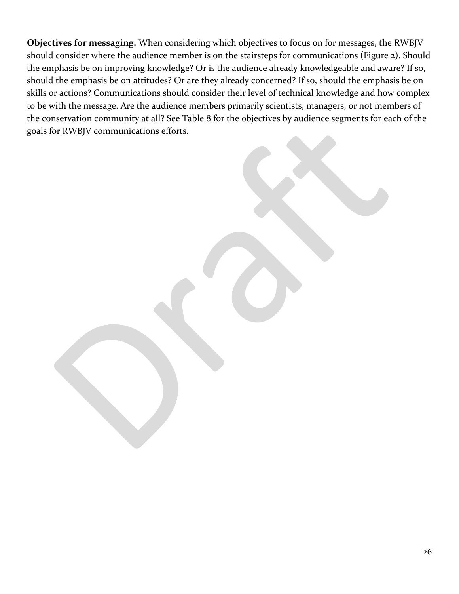**Objectives for messaging.** When considering which objectives to focus on for messages, the RWBJV should consider where the audience member is on the stairsteps for communications (Figure 2). Should the emphasis be on improving knowledge? Or is the audience already knowledgeable and aware? If so, should the emphasis be on attitudes? Or are they already concerned? If so, should the emphasis be on skills or actions? Communications should consider their level of technical knowledge and how complex to be with the message. Are the audience members primarily scientists, managers, or not members of the conservation community at all? See Table 8 for the objectives by audience segments for each of the goals for RWBJV communications efforts.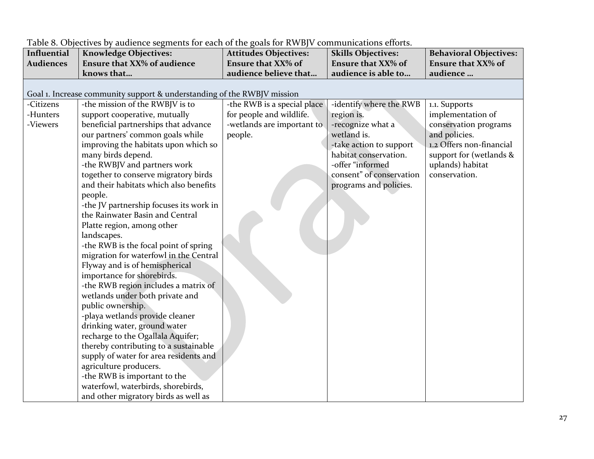| Influential      | <b>Knowledge Objectives:</b>                                            | <b>Attitudes Objectives:</b> | <b>Skills Objectives:</b> | <b>Behavioral Objectives:</b> |
|------------------|-------------------------------------------------------------------------|------------------------------|---------------------------|-------------------------------|
| <b>Audiences</b> | <b>Ensure that XX% of audience</b>                                      | <b>Ensure that XX% of</b>    | <b>Ensure that XX% of</b> | <b>Ensure that XX% of</b>     |
|                  | knows that                                                              | audience believe that        | audience is able to       | audience                      |
|                  |                                                                         |                              |                           |                               |
|                  | Goal 1. Increase community support & understanding of the RWBJV mission |                              |                           |                               |
| -Citizens        | -the mission of the RWBJV is to                                         | -the RWB is a special place  | -identify where the RWB   | 1.1. Supports                 |
| -Hunters         | support cooperative, mutually                                           | for people and wildlife.     | region is.                | implementation of             |
| -Viewers         | beneficial partnerships that advance                                    | -wetlands are important to   | -recognize what a         | conservation programs         |
|                  | our partners' common goals while                                        | people.                      | wetland is.               | and policies.                 |
|                  | improving the habitats upon which so                                    |                              | -take action to support   | 1.2 Offers non-financial      |
|                  | many birds depend.                                                      |                              | habitat conservation.     | support for (wetlands &       |
|                  | -the RWBJV and partners work                                            |                              | -offer "informed          | uplands) habitat              |
|                  | together to conserve migratory birds                                    |                              | consent" of conservation  | conservation.                 |
|                  | and their habitats which also benefits                                  |                              | programs and policies.    |                               |
|                  | people.                                                                 |                              |                           |                               |
|                  | -the JV partnership focuses its work in                                 |                              |                           |                               |
|                  | the Rainwater Basin and Central                                         |                              |                           |                               |
|                  | Platte region, among other                                              |                              |                           |                               |
|                  | landscapes.                                                             |                              |                           |                               |
|                  | -the RWB is the focal point of spring                                   |                              |                           |                               |
|                  | migration for waterfowl in the Central                                  |                              |                           |                               |
|                  | Flyway and is of hemispherical                                          |                              |                           |                               |
|                  | importance for shorebirds.                                              |                              |                           |                               |
|                  | -the RWB region includes a matrix of                                    |                              |                           |                               |
|                  | wetlands under both private and                                         |                              |                           |                               |
|                  | public ownership.                                                       |                              |                           |                               |
|                  | -playa wetlands provide cleaner                                         |                              |                           |                               |
|                  | drinking water, ground water                                            |                              |                           |                               |
|                  | recharge to the Ogallala Aquifer;                                       |                              |                           |                               |
|                  | thereby contributing to a sustainable                                   |                              |                           |                               |
|                  | supply of water for area residents and                                  |                              |                           |                               |
|                  | agriculture producers.                                                  |                              |                           |                               |
|                  | -the RWB is important to the                                            |                              |                           |                               |
|                  | waterfowl, waterbirds, shorebirds,                                      |                              |                           |                               |
|                  | and other migratory birds as well as                                    |                              |                           |                               |

Table 8. Objectives by audience segments for each of the goals for RWBJV communications efforts.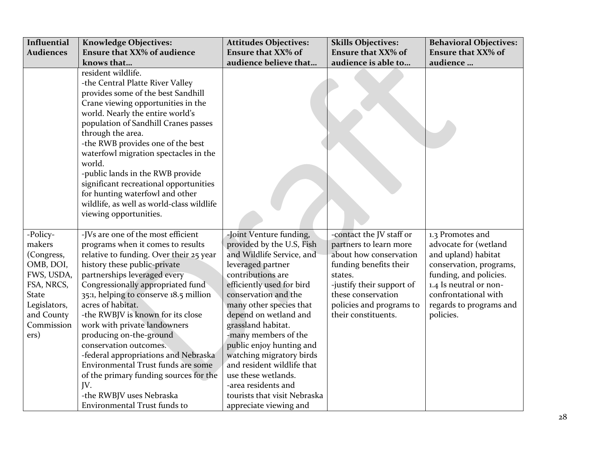| Influential                                                                                                                                   | <b>Knowledge Objectives:</b>                                                                                                                                                                                                                                                                                                                                                                                                                                                                                                                                                                                       | <b>Attitudes Objectives:</b>                                                                                                                                                                                                                                                                                                                                                                                                                                                     | <b>Skills Objectives:</b>                                                                                                                                                                                               | <b>Behavioral Objectives:</b>                                                                                                                                                                                   |
|-----------------------------------------------------------------------------------------------------------------------------------------------|--------------------------------------------------------------------------------------------------------------------------------------------------------------------------------------------------------------------------------------------------------------------------------------------------------------------------------------------------------------------------------------------------------------------------------------------------------------------------------------------------------------------------------------------------------------------------------------------------------------------|----------------------------------------------------------------------------------------------------------------------------------------------------------------------------------------------------------------------------------------------------------------------------------------------------------------------------------------------------------------------------------------------------------------------------------------------------------------------------------|-------------------------------------------------------------------------------------------------------------------------------------------------------------------------------------------------------------------------|-----------------------------------------------------------------------------------------------------------------------------------------------------------------------------------------------------------------|
| <b>Audiences</b>                                                                                                                              | <b>Ensure that XX% of audience</b>                                                                                                                                                                                                                                                                                                                                                                                                                                                                                                                                                                                 | <b>Ensure that XX% of</b>                                                                                                                                                                                                                                                                                                                                                                                                                                                        | <b>Ensure that XX% of</b>                                                                                                                                                                                               | <b>Ensure that XX% of</b>                                                                                                                                                                                       |
|                                                                                                                                               | knows that                                                                                                                                                                                                                                                                                                                                                                                                                                                                                                                                                                                                         | audience believe that                                                                                                                                                                                                                                                                                                                                                                                                                                                            | audience is able to                                                                                                                                                                                                     | audience                                                                                                                                                                                                        |
|                                                                                                                                               | resident wildlife.<br>-the Central Platte River Valley<br>provides some of the best Sandhill<br>Crane viewing opportunities in the<br>world. Nearly the entire world's<br>population of Sandhill Cranes passes<br>through the area.<br>-the RWB provides one of the best<br>waterfowl migration spectacles in the<br>world.<br>-public lands in the RWB provide<br>significant recreational opportunities<br>for hunting waterfowl and other<br>wildlife, as well as world-class wildlife<br>viewing opportunities.                                                                                                |                                                                                                                                                                                                                                                                                                                                                                                                                                                                                  |                                                                                                                                                                                                                         |                                                                                                                                                                                                                 |
| -Policy-<br>makers<br>(Congress,<br>OMB, DOI,<br>FWS, USDA,<br>FSA, NRCS,<br><b>State</b><br>Legislators,<br>and County<br>Commission<br>ers) | -JVs are one of the most efficient<br>programs when it comes to results<br>relative to funding. Over their 25 year<br>history these public-private<br>partnerships leveraged every<br>Congressionally appropriated fund<br>35:1, helping to conserve 18.5 million<br>acres of habitat.<br>-the RWBJV is known for its close<br>work with private landowners<br>producing on-the-ground<br>conservation outcomes.<br>-federal appropriations and Nebraska<br>Environmental Trust funds are some<br>of the primary funding sources for the<br>JV.<br>-the RWBJV uses Nebraska<br><b>Environmental Trust funds to</b> | -Joint Venture funding,<br>provided by the U.S, Fish<br>and Wildlife Service, and<br>leveraged partner<br>contributions are<br>efficiently used for bird<br>conservation and the<br>many other species that<br>depend on wetland and<br>grassland habitat.<br>-many members of the<br>public enjoy hunting and<br>watching migratory birds<br>and resident wildlife that<br>use these wetlands.<br>-area residents and<br>tourists that visit Nebraska<br>appreciate viewing and | -contact the JV staff or<br>partners to learn more<br>about how conservation<br>funding benefits their<br>states.<br>-justify their support of<br>these conservation<br>policies and programs to<br>their constituents. | 1.3 Promotes and<br>advocate for (wetland<br>and upland) habitat<br>conservation, programs,<br>funding, and policies.<br>1.4 Is neutral or non-<br>confrontational with<br>regards to programs and<br>policies. |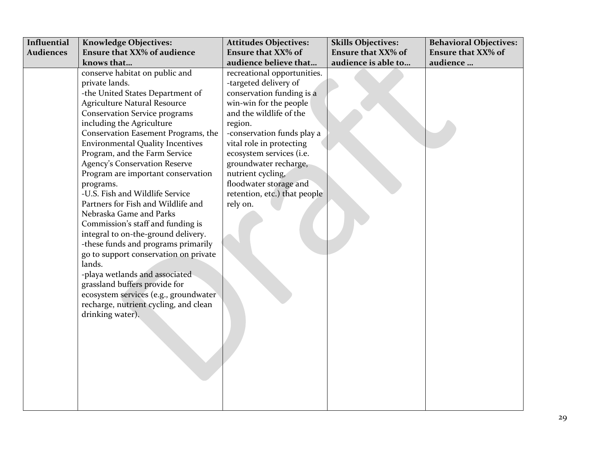| <b>Influential</b> | <b>Knowledge Objectives:</b>            | <b>Attitudes Objectives:</b> | <b>Skills Objectives:</b> | <b>Behavioral Objectives:</b> |
|--------------------|-----------------------------------------|------------------------------|---------------------------|-------------------------------|
| <b>Audiences</b>   | <b>Ensure that XX% of audience</b>      | <b>Ensure that XX% of</b>    | <b>Ensure that XX% of</b> | <b>Ensure that XX% of</b>     |
|                    | knows that                              | audience believe that        | audience is able to       | audience                      |
|                    | conserve habitat on public and          | recreational opportunities.  |                           |                               |
|                    | private lands.                          | -targeted delivery of        |                           |                               |
|                    | -the United States Department of        | conservation funding is a    |                           |                               |
|                    | <b>Agriculture Natural Resource</b>     | win-win for the people       |                           |                               |
|                    | <b>Conservation Service programs</b>    | and the wildlife of the      |                           |                               |
|                    | including the Agriculture               | region.                      |                           |                               |
|                    | Conservation Easement Programs, the     | -conservation funds play a   |                           |                               |
|                    | <b>Environmental Quality Incentives</b> | vital role in protecting     |                           |                               |
|                    | Program, and the Farm Service           | ecosystem services (i.e.     |                           |                               |
|                    | <b>Agency's Conservation Reserve</b>    | groundwater recharge,        |                           |                               |
|                    | Program are important conservation      | nutrient cycling,            |                           |                               |
|                    | programs.                               | floodwater storage and       |                           |                               |
|                    | -U.S. Fish and Wildlife Service         | retention, etc.) that people |                           |                               |
|                    | Partners for Fish and Wildlife and      | rely on.                     |                           |                               |
|                    | Nebraska Game and Parks                 |                              |                           |                               |
|                    | Commission's staff and funding is       |                              |                           |                               |
|                    | integral to on-the-ground delivery.     |                              |                           |                               |
|                    | -these funds and programs primarily     |                              |                           |                               |
|                    | go to support conservation on private   |                              |                           |                               |
|                    | lands.                                  |                              |                           |                               |
|                    | -playa wetlands and associated          |                              |                           |                               |
|                    | grassland buffers provide for           |                              |                           |                               |
|                    | ecosystem services (e.g., groundwater   |                              |                           |                               |
|                    | recharge, nutrient cycling, and clean   |                              |                           |                               |
|                    | drinking water).                        |                              |                           |                               |
|                    |                                         |                              |                           |                               |
|                    |                                         |                              |                           |                               |
|                    |                                         |                              |                           |                               |
|                    |                                         |                              |                           |                               |
|                    |                                         |                              |                           |                               |
|                    |                                         |                              |                           |                               |
|                    |                                         |                              |                           |                               |
|                    |                                         |                              |                           |                               |
|                    |                                         |                              |                           |                               |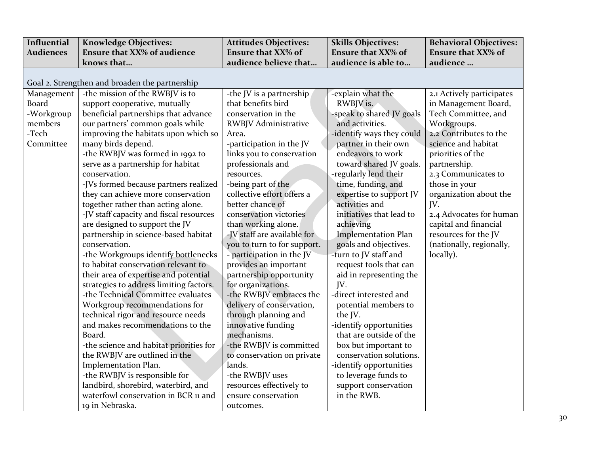| Influential      | <b>Knowledge Objectives:</b>                   | <b>Attitudes Objectives:</b> | <b>Skills Objectives:</b>  | <b>Behavioral Objectives:</b> |
|------------------|------------------------------------------------|------------------------------|----------------------------|-------------------------------|
| <b>Audiences</b> | <b>Ensure that XX% of audience</b>             | <b>Ensure that XX% of</b>    | <b>Ensure that XX% of</b>  | <b>Ensure that XX% of</b>     |
|                  | knows that                                     | audience believe that        | audience is able to        | audience                      |
|                  |                                                |                              |                            |                               |
|                  | Goal 2. Strengthen and broaden the partnership |                              |                            |                               |
| Management       | -the mission of the RWBJV is to                | -the JV is a partnership     | -explain what the          | 2.1 Actively participates     |
| Board            | support cooperative, mutually                  | that benefits bird           | RWBJV is.                  | in Management Board,          |
| -Workgroup       | beneficial partnerships that advance           | conservation in the          | -speak to shared JV goals  | Tech Committee, and           |
| members          | our partners' common goals while               | <b>RWBJV Administrative</b>  | and activities.            | Workgroups.                   |
| -Tech            | improving the habitats upon which so           | Area.                        | -identify ways they could  | 2.2 Contributes to the        |
| Committee        | many birds depend.                             | -participation in the JV     | partner in their own       | science and habitat           |
|                  | -the RWBJV was formed in 1992 to               | links you to conservation    | endeavors to work          | priorities of the             |
|                  | serve as a partnership for habitat             | professionals and            | toward shared JV goals.    | partnership.                  |
|                  | conservation.                                  | resources.                   | -regularly lend their      | 2.3 Communicates to           |
|                  | -JVs formed because partners realized          | -being part of the           | time, funding, and         | those in your                 |
|                  | they can achieve more conservation             | collective effort offers a   | expertise to support JV    | organization about the        |
|                  | together rather than acting alone.             | better chance of             | activities and             | JV.                           |
|                  | -JV staff capacity and fiscal resources        | conservation victories       | initiatives that lead to   | 2.4 Advocates for human       |
|                  | are designed to support the JV                 | than working alone.          | achieving                  | capital and financial         |
|                  | partnership in science-based habitat           | -JV staff are available for  | <b>Implementation Plan</b> | resources for the JV          |
|                  | conservation.                                  | you to turn to for support.  | goals and objectives.      | (nationally, regionally,      |
|                  | -the Workgroups identify bottlenecks           | - participation in the JV    | -turn to JV staff and      | locally).                     |
|                  | to habitat conservation relevant to            | provides an important        | request tools that can     |                               |
|                  | their area of expertise and potential          | partnership opportunity      | aid in representing the    |                               |
|                  | strategies to address limiting factors.        | for organizations.           | JV.                        |                               |
|                  | -the Technical Committee evaluates             | -the RWBJV embraces the      | -direct interested and     |                               |
|                  | Workgroup recommendations for                  | delivery of conservation,    | potential members to       |                               |
|                  | technical rigor and resource needs             | through planning and         | the JV.                    |                               |
|                  | and makes recommendations to the               | innovative funding           | -identify opportunities    |                               |
|                  | Board.                                         | mechanisms.                  | that are outside of the    |                               |
|                  | -the science and habitat priorities for        | -the RWBJV is committed      | box but important to       |                               |
|                  | the RWBJV are outlined in the                  | to conservation on private   | conservation solutions.    |                               |
|                  | Implementation Plan.                           | lands.                       | -identify opportunities    |                               |
|                  | -the RWBJV is responsible for                  | -the RWBJV uses              | to leverage funds to       |                               |
|                  | landbird, shorebird, waterbird, and            | resources effectively to     | support conservation       |                               |
|                  | waterfowl conservation in BCR 11 and           | ensure conservation          | in the RWB.                |                               |
|                  | 19 in Nebraska.                                | outcomes.                    |                            |                               |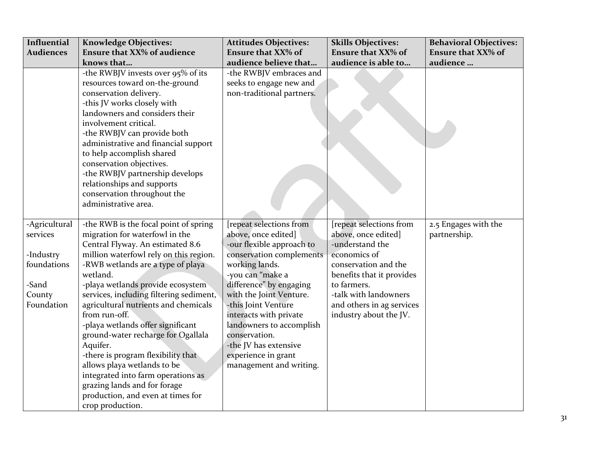| Influential<br><b>Audiences</b> | <b>Knowledge Objectives:</b><br><b>Ensure that XX% of audience</b> | <b>Attitudes Objectives:</b><br><b>Ensure that XX% of</b> | <b>Skills Objectives:</b><br><b>Ensure that XX% of</b> | <b>Behavioral Objectives:</b><br><b>Ensure that XX% of</b> |
|---------------------------------|--------------------------------------------------------------------|-----------------------------------------------------------|--------------------------------------------------------|------------------------------------------------------------|
|                                 | knows that                                                         | audience believe that                                     | audience is able to                                    | audience                                                   |
|                                 | -the RWBJV invests over 95% of its                                 | -the RWBJV embraces and                                   |                                                        |                                                            |
|                                 | resources toward on-the-ground                                     | seeks to engage new and                                   |                                                        |                                                            |
|                                 | conservation delivery.                                             | non-traditional partners.                                 |                                                        |                                                            |
|                                 | -this JV works closely with                                        |                                                           |                                                        |                                                            |
|                                 | landowners and considers their                                     |                                                           |                                                        |                                                            |
|                                 | involvement critical.                                              |                                                           |                                                        |                                                            |
|                                 | -the RWBJV can provide both                                        |                                                           |                                                        |                                                            |
|                                 | administrative and financial support                               |                                                           |                                                        |                                                            |
|                                 | to help accomplish shared                                          |                                                           |                                                        |                                                            |
|                                 | conservation objectives.                                           |                                                           |                                                        |                                                            |
|                                 | -the RWBJV partnership develops                                    |                                                           |                                                        |                                                            |
|                                 | relationships and supports                                         |                                                           |                                                        |                                                            |
|                                 | conservation throughout the                                        |                                                           |                                                        |                                                            |
|                                 | administrative area.                                               |                                                           |                                                        |                                                            |
|                                 |                                                                    |                                                           |                                                        |                                                            |
| -Agricultural                   | -the RWB is the focal point of spring                              | [repeat selections from                                   | [repeat selections from                                | 2.5 Engages with the                                       |
| services                        | migration for waterfowl in the                                     | above, once edited]                                       | above, once edited]                                    | partnership.                                               |
|                                 | Central Flyway. An estimated 8.6                                   | -our flexible approach to                                 | -understand the                                        |                                                            |
| -Industry                       | million waterfowl rely on this region.                             | conservation complements                                  | economics of                                           |                                                            |
| foundations                     | -RWB wetlands are a type of playa                                  | working lands.                                            | conservation and the                                   |                                                            |
|                                 | wetland.                                                           | -you can "make a                                          | benefits that it provides                              |                                                            |
| -Sand                           | -playa wetlands provide ecosystem                                  | difference" by engaging                                   | to farmers.                                            |                                                            |
| County                          | services, including filtering sediment,                            | with the Joint Venture.                                   | -talk with landowners                                  |                                                            |
| Foundation                      | agricultural nutrients and chemicals                               | -this Joint Venture                                       | and others in ag services                              |                                                            |
|                                 | from run-off.                                                      | interacts with private                                    | industry about the JV.                                 |                                                            |
|                                 | -playa wetlands offer significant                                  | landowners to accomplish<br>conservation.                 |                                                        |                                                            |
|                                 | ground-water recharge for Ogallala                                 | -the JV has extensive                                     |                                                        |                                                            |
|                                 | Aquifer.                                                           | experience in grant                                       |                                                        |                                                            |
|                                 | -there is program flexibility that<br>allows playa wetlands to be  | management and writing.                                   |                                                        |                                                            |
|                                 | integrated into farm operations as                                 |                                                           |                                                        |                                                            |
|                                 | grazing lands and for forage                                       |                                                           |                                                        |                                                            |
|                                 | production, and even at times for                                  |                                                           |                                                        |                                                            |
|                                 |                                                                    |                                                           |                                                        |                                                            |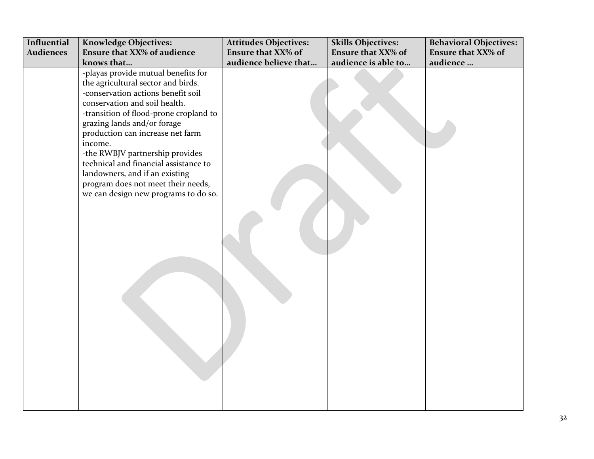| Influential      | <b>Knowledge Objectives:</b>                                                                                                                                                                                                                                                                                                                                                                                                                                         | <b>Attitudes Objectives:</b> | <b>Skills Objectives:</b> | <b>Behavioral Objectives:</b> |
|------------------|----------------------------------------------------------------------------------------------------------------------------------------------------------------------------------------------------------------------------------------------------------------------------------------------------------------------------------------------------------------------------------------------------------------------------------------------------------------------|------------------------------|---------------------------|-------------------------------|
| <b>Audiences</b> | <b>Ensure that XX% of audience</b>                                                                                                                                                                                                                                                                                                                                                                                                                                   | <b>Ensure that XX% of</b>    | <b>Ensure that XX% of</b> | <b>Ensure that XX% of</b>     |
|                  | knows that                                                                                                                                                                                                                                                                                                                                                                                                                                                           | audience believe that        | audience is able to       | audience                      |
|                  | -playas provide mutual benefits for<br>the agricultural sector and birds.<br>-conservation actions benefit soil<br>conservation and soil health.<br>-transition of flood-prone cropland to<br>grazing lands and/or forage<br>production can increase net farm<br>income.<br>-the RWBJV partnership provides<br>technical and financial assistance to<br>landowners, and if an existing<br>program does not meet their needs,<br>we can design new programs to do so. |                              |                           |                               |
|                  |                                                                                                                                                                                                                                                                                                                                                                                                                                                                      |                              |                           |                               |
|                  |                                                                                                                                                                                                                                                                                                                                                                                                                                                                      |                              |                           |                               |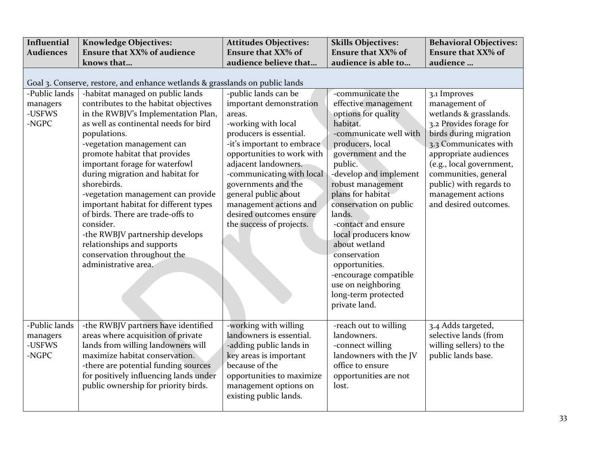| Influential                                  | <b>Knowledge Objectives:</b>                                                                                                                                                                                                                                                                                                                                                                                                                                                                                                                                                           | <b>Attitudes Objectives:</b>                                                                                                                                                                                                                                                                                                                                 | <b>Skills Objectives:</b>                                                                                                                                                                                                                                                                                                                                                                                                                                   | <b>Behavioral Objectives:</b>                                                                                                                                                                                                                                                                |
|----------------------------------------------|----------------------------------------------------------------------------------------------------------------------------------------------------------------------------------------------------------------------------------------------------------------------------------------------------------------------------------------------------------------------------------------------------------------------------------------------------------------------------------------------------------------------------------------------------------------------------------------|--------------------------------------------------------------------------------------------------------------------------------------------------------------------------------------------------------------------------------------------------------------------------------------------------------------------------------------------------------------|-------------------------------------------------------------------------------------------------------------------------------------------------------------------------------------------------------------------------------------------------------------------------------------------------------------------------------------------------------------------------------------------------------------------------------------------------------------|----------------------------------------------------------------------------------------------------------------------------------------------------------------------------------------------------------------------------------------------------------------------------------------------|
| <b>Audiences</b>                             | <b>Ensure that XX% of audience</b>                                                                                                                                                                                                                                                                                                                                                                                                                                                                                                                                                     | <b>Ensure that XX% of</b>                                                                                                                                                                                                                                                                                                                                    | <b>Ensure that XX% of</b>                                                                                                                                                                                                                                                                                                                                                                                                                                   | <b>Ensure that XX% of</b>                                                                                                                                                                                                                                                                    |
|                                              | knows that                                                                                                                                                                                                                                                                                                                                                                                                                                                                                                                                                                             | audience believe that                                                                                                                                                                                                                                                                                                                                        | audience is able to                                                                                                                                                                                                                                                                                                                                                                                                                                         | audience                                                                                                                                                                                                                                                                                     |
|                                              | Goal 3. Conserve, restore, and enhance wetlands & grasslands on public lands                                                                                                                                                                                                                                                                                                                                                                                                                                                                                                           |                                                                                                                                                                                                                                                                                                                                                              |                                                                                                                                                                                                                                                                                                                                                                                                                                                             |                                                                                                                                                                                                                                                                                              |
| -Public lands<br>managers<br>-USFWS<br>-NGPC | -habitat managed on public lands<br>contributes to the habitat objectives<br>in the RWBJV's Implementation Plan,<br>as well as continental needs for bird<br>populations.<br>-vegetation management can<br>promote habitat that provides<br>important forage for waterfowl<br>during migration and habitat for<br>shorebirds.<br>-vegetation management can provide<br>important habitat for different types<br>of birds. There are trade-offs to<br>consider.<br>-the RWBJV partnership develops<br>relationships and supports<br>conservation throughout the<br>administrative area. | -public lands can be<br>important demonstration<br>areas.<br>-working with local<br>producers is essential.<br>-it's important to embrace<br>opportunities to work with<br>adjacent landowners.<br>-communicating with local<br>governments and the<br>general public about<br>management actions and<br>desired outcomes ensure<br>the success of projects. | -communicate the<br>effective management<br>options for quality<br>habitat.<br>-communicate well with<br>producers, local<br>government and the<br>public.<br>-develop and implement<br>robust management<br>plans for habitat<br>conservation on public<br>lands.<br>-contact and ensure<br>local producers know<br>about wetland<br>conservation<br>opportunities.<br>-encourage compatible<br>use on neighboring<br>long-term protected<br>private land. | 3.1 Improves<br>management of<br>wetlands & grasslands.<br>3.2 Provides forage for<br>birds during migration<br>3.3 Communicates with<br>appropriate audiences<br>(e.g., local government,<br>communities, general<br>public) with regards to<br>management actions<br>and desired outcomes. |
| -Public lands<br>managers<br>-USFWS<br>-NGPC | -the RWBJV partners have identified<br>areas where acquisition of private<br>lands from willing landowners will<br>maximize habitat conservation.<br>-there are potential funding sources<br>for positively influencing lands under<br>public ownership for priority birds.                                                                                                                                                                                                                                                                                                            | -working with willing<br>landowners is essential.<br>-adding public lands in<br>key areas is important<br>because of the<br>opportunities to maximize<br>management options on<br>existing public lands.                                                                                                                                                     | -reach out to willing<br>landowners.<br>-connect willing<br>landowners with the JV<br>office to ensure<br>opportunities are not<br>lost.                                                                                                                                                                                                                                                                                                                    | 3.4 Adds targeted,<br>selective lands (from<br>willing sellers) to the<br>public lands base.                                                                                                                                                                                                 |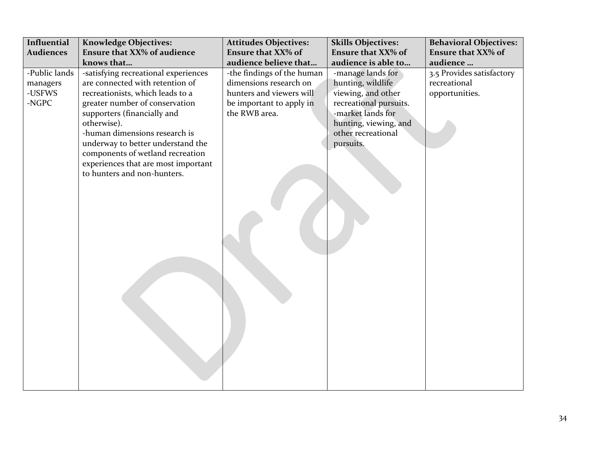| Influential                                                      | <b>Knowledge Objectives:</b>                                                                                                                                                                                                                                                                                                                                                                                                    | <b>Attitudes Objectives:</b>                                                                                                                                                        | <b>Skills Objectives:</b>                                                                                                                                                                                                   | <b>Behavioral Objectives:</b>                                                                        |
|------------------------------------------------------------------|---------------------------------------------------------------------------------------------------------------------------------------------------------------------------------------------------------------------------------------------------------------------------------------------------------------------------------------------------------------------------------------------------------------------------------|-------------------------------------------------------------------------------------------------------------------------------------------------------------------------------------|-----------------------------------------------------------------------------------------------------------------------------------------------------------------------------------------------------------------------------|------------------------------------------------------------------------------------------------------|
|                                                                  |                                                                                                                                                                                                                                                                                                                                                                                                                                 |                                                                                                                                                                                     |                                                                                                                                                                                                                             |                                                                                                      |
| <b>Audiences</b><br>-Public lands<br>managers<br>-USFWS<br>-NGPC | <b>Ensure that XX% of audience</b><br>knows that<br>-satisfying recreational experiences<br>are connected with retention of<br>recreationists, which leads to a<br>greater number of conservation<br>supporters (financially and<br>otherwise).<br>-human dimensions research is<br>underway to better understand the<br>components of wetland recreation<br>experiences that are most important<br>to hunters and non-hunters. | <b>Ensure that XX% of</b><br>audience believe that<br>-the findings of the human<br>dimensions research on<br>hunters and viewers will<br>be important to apply in<br>the RWB area. | <b>Ensure that XX% of</b><br>audience is able to<br>-manage lands for<br>hunting, wildlife<br>viewing, and other<br>recreational pursuits.<br>-market lands for<br>hunting, viewing, and<br>other recreational<br>pursuits. | <b>Ensure that XX% of</b><br>audience<br>3.5 Provides satisfactory<br>recreational<br>opportunities. |
|                                                                  |                                                                                                                                                                                                                                                                                                                                                                                                                                 |                                                                                                                                                                                     |                                                                                                                                                                                                                             |                                                                                                      |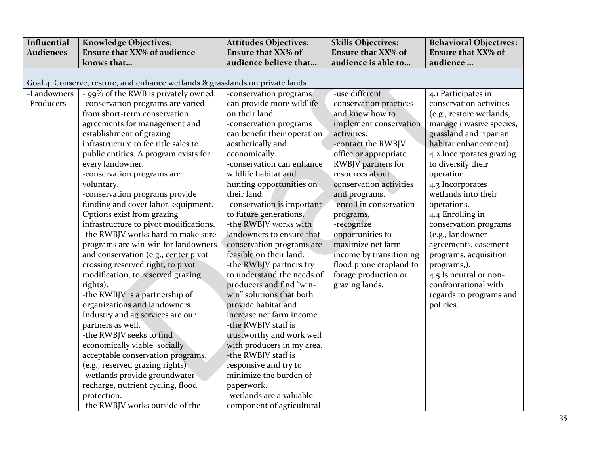| Influential      | <b>Knowledge Objectives:</b>                                                  | <b>Attitudes Objectives:</b> | <b>Skills Objectives:</b> | <b>Behavioral Objectives:</b> |
|------------------|-------------------------------------------------------------------------------|------------------------------|---------------------------|-------------------------------|
| <b>Audiences</b> | <b>Ensure that XX% of audience</b>                                            | <b>Ensure that XX% of</b>    | <b>Ensure that XX% of</b> | <b>Ensure that XX% of</b>     |
|                  | knows that                                                                    | audience believe that        | audience is able to       | audience                      |
|                  |                                                                               |                              |                           |                               |
|                  | Goal 4. Conserve, restore, and enhance wetlands & grasslands on private lands |                              |                           |                               |
| -Landowners      | - 99% of the RWB is privately owned.                                          | -conservation programs       | -use different            | 4.1 Participates in           |
| -Producers       | -conservation programs are varied                                             | can provide more wildlife    | conservation practices    | conservation activities       |
|                  | from short-term conservation                                                  | on their land.               | and know how to           | (e.g., restore wetlands,      |
|                  | agreements for management and                                                 | -conservation programs       | implement conservation    | manage invasive species,      |
|                  | establishment of grazing                                                      | can benefit their operation  | activities.               | grassland and riparian        |
|                  | infrastructure to fee title sales to                                          | aesthetically and            | -contact the RWBJV        | habitat enhancement).         |
|                  | public entities. A program exists for                                         | economically.                | office or appropriate     | 4.2 Incorporates grazing      |
|                  | every landowner.                                                              | -conservation can enhance    | RWBJV partners for        | to diversify their            |
|                  | -conservation programs are                                                    | wildlife habitat and         | resources about           | operation.                    |
|                  | voluntary.                                                                    | hunting opportunities on     | conservation activities   | 4.3 Incorporates              |
|                  | -conservation programs provide                                                | their land.                  | and programs.             | wetlands into their           |
|                  | funding and cover labor, equipment.                                           | -conservation is important   | -enroll in conservation   | operations.                   |
|                  | Options exist from grazing                                                    | to future generations.       | programs.                 | 4.4 Enrolling in              |
|                  | infrastructure to pivot modifications.                                        | -the RWBJV works with        | -recognize                | conservation programs         |
|                  | -the RWBJV works hard to make sure                                            | landowners to ensure that    | opportunities to          | (e.g., landowner              |
|                  | programs are win-win for landowners                                           | conservation programs are    | maximize net farm         | agreements, easement          |
|                  | and conservation (e.g., center pivot                                          | feasible on their land.      | income by transitioning   | programs, acquisition         |
|                  | crossing reserved right, to pivot                                             | -the RWBJV partners try      | flood prone cropland to   | programs,).                   |
|                  | modification, to reserved grazing                                             | to understand the needs of   | forage production or      | 4.5 Is neutral or non-        |
|                  | rights).                                                                      | producers and find "win-     | grazing lands.            | confrontational with          |
|                  | -the RWBJV is a partnership of                                                | win" solutions that both     |                           | regards to programs and       |
|                  | organizations and landowners.                                                 | provide habitat and          |                           | policies.                     |
|                  | Industry and ag services are our                                              | increase net farm income.    |                           |                               |
|                  | partners as well.                                                             | -the RWBJV staff is          |                           |                               |
|                  | -the RWBJV seeks to find                                                      | trustworthy and work well    |                           |                               |
|                  | economically viable, socially                                                 | with producers in my area.   |                           |                               |
|                  | acceptable conservation programs.                                             | -the RWBJV staff is          |                           |                               |
|                  | (e.g., reserved grazing rights)                                               | responsive and try to        |                           |                               |
|                  | -wetlands provide groundwater                                                 | minimize the burden of       |                           |                               |
|                  | recharge, nutrient cycling, flood                                             | paperwork.                   |                           |                               |
|                  | protection.                                                                   | -wetlands are a valuable     |                           |                               |
|                  | -the RWBJV works outside of the                                               | component of agricultural    |                           |                               |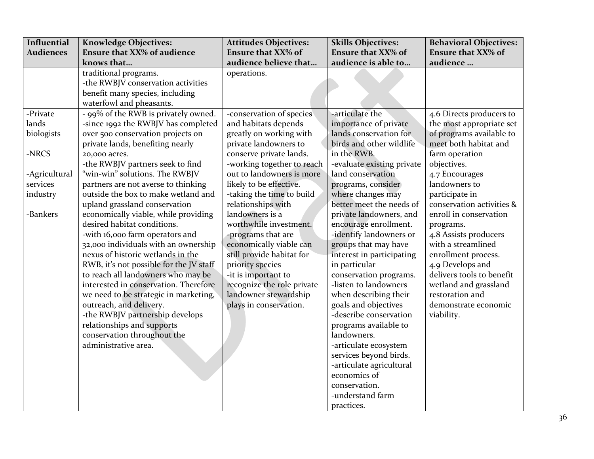| Influential      | <b>Knowledge Objectives:</b>            | <b>Attitudes Objectives:</b> | <b>Skills Objectives:</b>  | <b>Behavioral Objectives:</b> |
|------------------|-----------------------------------------|------------------------------|----------------------------|-------------------------------|
| <b>Audiences</b> | <b>Ensure that XX% of audience</b>      | <b>Ensure that XX% of</b>    | <b>Ensure that XX% of</b>  | <b>Ensure that XX% of</b>     |
|                  | knows that                              | audience believe that        | audience is able to        | audience                      |
|                  | traditional programs.                   | operations.                  |                            |                               |
|                  | -the RWBJV conservation activities      |                              |                            |                               |
|                  | benefit many species, including         |                              |                            |                               |
|                  | waterfowl and pheasants.                |                              |                            |                               |
| -Private         | - 99% of the RWB is privately owned.    | -conservation of species     | -articulate the            | 4.6 Directs producers to      |
| lands            | -since 1992 the RWBJV has completed     | and habitats depends         | importance of private      | the most appropriate set      |
| biologists       | over 500 conservation projects on       | greatly on working with      | lands conservation for     | of programs available to      |
|                  | private lands, benefiting nearly        | private landowners to        | birds and other wildlife   | meet both habitat and         |
| -NRCS            | 20,000 acres.                           | conserve private lands.      | in the RWB.                | farm operation                |
|                  | -the RWBJV partners seek to find        | -working together to reach   | -evaluate existing private | objectives.                   |
| -Agricultural    | "win-win" solutions. The RWBJV          | out to landowners is more    | land conservation          | 4.7 Encourages                |
| services         | partners are not averse to thinking     | likely to be effective.      | programs, consider         | landowners to                 |
| industry         | outside the box to make wetland and     | -taking the time to build    | where changes may          | participate in                |
|                  | upland grassland conservation           | relationships with           | better meet the needs of   | conservation activities &     |
| -Bankers         | economically viable, while providing    | landowners is a              | private landowners, and    | enroll in conservation        |
|                  | desired habitat conditions.             | worthwhile investment.       | encourage enrollment.      | programs.                     |
|                  | -with 16,000 farm operators and         | -programs that are           | -identify landowners or    | 4.8 Assists producers         |
|                  | 32,000 individuals with an ownership    | economically viable can      | groups that may have       | with a streamlined            |
|                  | nexus of historic wetlands in the       | still provide habitat for    | interest in participating  | enrollment process.           |
|                  | RWB, it's not possible for the JV staff | priority species             | in particular              | 4.9 Develops and              |
|                  | to reach all landowners who may be      | -it is important to          | conservation programs.     | delivers tools to benefit     |
|                  | interested in conservation. Therefore   | recognize the role private   | -listen to landowners      | wetland and grassland         |
|                  | we need to be strategic in marketing,   | landowner stewardship        | when describing their      | restoration and               |
|                  | outreach, and delivery.                 | plays in conservation.       | goals and objectives       | demonstrate economic          |
|                  | -the RWBJV partnership develops         |                              | -describe conservation     | viability.                    |
|                  | relationships and supports              |                              | programs available to      |                               |
|                  | conservation throughout the             |                              | landowners.                |                               |
|                  | administrative area.                    |                              | -articulate ecosystem      |                               |
|                  |                                         |                              | services beyond birds.     |                               |
|                  |                                         |                              | -articulate agricultural   |                               |
|                  |                                         |                              | economics of               |                               |
|                  |                                         |                              | conservation.              |                               |
|                  |                                         |                              | -understand farm           |                               |
|                  |                                         |                              | practices.                 |                               |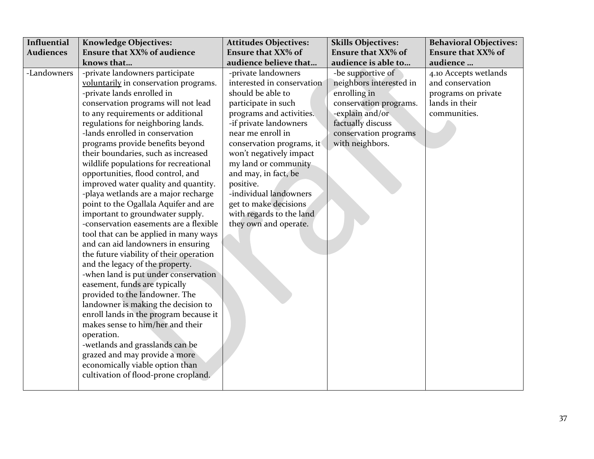| Influential      | <b>Knowledge Objectives:</b>                                                                                                                                                                                                                                                                                                                                                                                                                                                                                                                                                                                                                                                                                                                                                                                                                                                                                                                                                                                                                                                                                                                                                          | <b>Attitudes Objectives:</b>                                                                                                                                                                                                                                                                                                                                                                          | <b>Skills Objectives:</b>                                                                                                                                                  | <b>Behavioral Objectives:</b>                                                                      |
|------------------|---------------------------------------------------------------------------------------------------------------------------------------------------------------------------------------------------------------------------------------------------------------------------------------------------------------------------------------------------------------------------------------------------------------------------------------------------------------------------------------------------------------------------------------------------------------------------------------------------------------------------------------------------------------------------------------------------------------------------------------------------------------------------------------------------------------------------------------------------------------------------------------------------------------------------------------------------------------------------------------------------------------------------------------------------------------------------------------------------------------------------------------------------------------------------------------|-------------------------------------------------------------------------------------------------------------------------------------------------------------------------------------------------------------------------------------------------------------------------------------------------------------------------------------------------------------------------------------------------------|----------------------------------------------------------------------------------------------------------------------------------------------------------------------------|----------------------------------------------------------------------------------------------------|
| <b>Audiences</b> | <b>Ensure that XX% of audience</b>                                                                                                                                                                                                                                                                                                                                                                                                                                                                                                                                                                                                                                                                                                                                                                                                                                                                                                                                                                                                                                                                                                                                                    | <b>Ensure that XX% of</b>                                                                                                                                                                                                                                                                                                                                                                             | <b>Ensure that XX% of</b>                                                                                                                                                  | <b>Ensure that XX% of</b>                                                                          |
|                  | knows that                                                                                                                                                                                                                                                                                                                                                                                                                                                                                                                                                                                                                                                                                                                                                                                                                                                                                                                                                                                                                                                                                                                                                                            | audience believe that                                                                                                                                                                                                                                                                                                                                                                                 | audience is able to                                                                                                                                                        | audience                                                                                           |
| -Landowners      | -private landowners participate<br>voluntarily in conservation programs.<br>-private lands enrolled in<br>conservation programs will not lead<br>to any requirements or additional<br>regulations for neighboring lands.<br>-lands enrolled in conservation<br>programs provide benefits beyond<br>their boundaries, such as increased<br>wildlife populations for recreational<br>opportunities, flood control, and<br>improved water quality and quantity.<br>-playa wetlands are a major recharge<br>point to the Ogallala Aquifer and are<br>important to groundwater supply.<br>-conservation easements are a flexible<br>tool that can be applied in many ways<br>and can aid landowners in ensuring<br>the future viability of their operation<br>and the legacy of the property.<br>-when land is put under conservation<br>easement, funds are typically<br>provided to the landowner. The<br>landowner is making the decision to<br>enroll lands in the program because it<br>makes sense to him/her and their<br>operation.<br>-wetlands and grasslands can be<br>grazed and may provide a more<br>economically viable option than<br>cultivation of flood-prone cropland. | -private landowners<br>interested in conservation<br>should be able to<br>participate in such<br>programs and activities.<br>-if private landowners<br>near me enroll in<br>conservation programs, it<br>won't negatively impact<br>my land or community<br>and may, in fact, be<br>positive.<br>-individual landowners<br>get to make decisions<br>with regards to the land<br>they own and operate. | -be supportive of<br>neighbors interested in<br>enrolling in<br>conservation programs.<br>-explain and/or<br>factually discuss<br>conservation programs<br>with neighbors. | 4.10 Accepts wetlands<br>and conservation<br>programs on private<br>lands in their<br>communities. |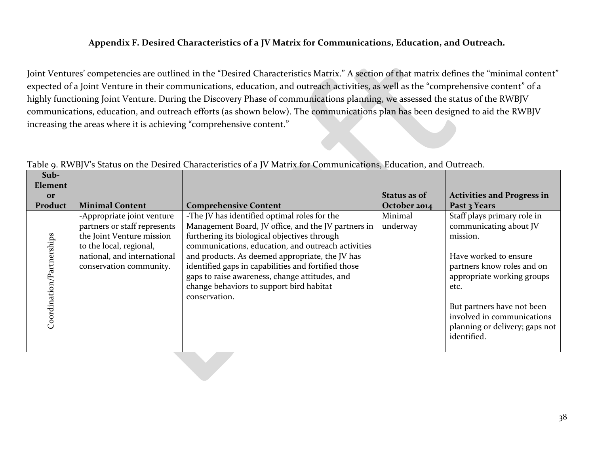#### **Appendix F. Desired Characteristics of a JV Matrix for Communications, Education, and Outreach.**

Joint Ventures' competencies are outlined in the "Desired Characteristics Matrix." A section of that matrix defines the "minimal content" expected of a Joint Venture in their communications, education, and outreach activities, as well as the "comprehensive content" of a highly functioning Joint Venture. During the Discovery Phase of communications planning, we assessed the status of the RWBJV communications, education, and outreach efforts (as shown below). The communications plan has been designed to aid the RWBJV increasing the areas where it is achieving "comprehensive content."

<span id="page-41-0"></span>

| Sub-                      |                                                                                                                                                                              |                                                                                                                                                                                                                                                                                                                                                                                                                                    |                     |                                                                                                                                                                                              |
|---------------------------|------------------------------------------------------------------------------------------------------------------------------------------------------------------------------|------------------------------------------------------------------------------------------------------------------------------------------------------------------------------------------------------------------------------------------------------------------------------------------------------------------------------------------------------------------------------------------------------------------------------------|---------------------|----------------------------------------------------------------------------------------------------------------------------------------------------------------------------------------------|
| Element                   |                                                                                                                                                                              |                                                                                                                                                                                                                                                                                                                                                                                                                                    |                     |                                                                                                                                                                                              |
| <b>Or</b>                 |                                                                                                                                                                              |                                                                                                                                                                                                                                                                                                                                                                                                                                    | Status as of        | <b>Activities and Progress in</b>                                                                                                                                                            |
| Product                   | <b>Minimal Content</b>                                                                                                                                                       | <b>Comprehensive Content</b>                                                                                                                                                                                                                                                                                                                                                                                                       | October 2014        | Past 3 Years                                                                                                                                                                                 |
| Coordination/Partnerships | -Appropriate joint venture<br>partners or staff represents<br>the Joint Venture mission<br>to the local, regional,<br>national, and international<br>conservation community. | -The JV has identified optimal roles for the<br>Management Board, JV office, and the JV partners in<br>furthering its biological objectives through<br>communications, education, and outreach activities<br>and products. As deemed appropriate, the JV has<br>identified gaps in capabilities and fortified those<br>gaps to raise awareness, change attitudes, and<br>change behaviors to support bird habitat<br>conservation. | Minimal<br>underway | Staff plays primary role in<br>communicating about JV<br>mission.<br>Have worked to ensure<br>partners know roles and on<br>appropriate working groups<br>etc.<br>But partners have not been |
|                           |                                                                                                                                                                              |                                                                                                                                                                                                                                                                                                                                                                                                                                    |                     | involved in communications<br>planning or delivery; gaps not<br>identified.                                                                                                                  |

Table 9. RWBJV's Status on the Desired Characteristics of a JV Matrix for Communications, Education, and Outreach.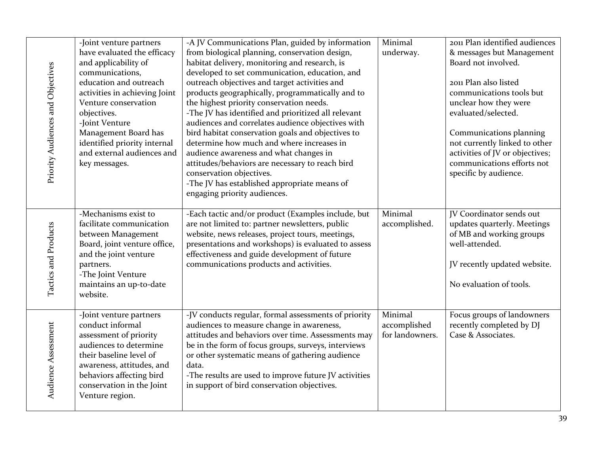| Priority Audiences and Objectives | -Joint venture partners<br>have evaluated the efficacy<br>and applicability of<br>communications,<br>education and outreach<br>activities in achieving Joint<br>Venture conservation<br>objectives.<br>-Joint Venture<br>Management Board has<br>identified priority internal<br>and external audiences and<br>key messages. | -A JV Communications Plan, guided by information<br>from biological planning, conservation design,<br>habitat delivery, monitoring and research, is<br>developed to set communication, education, and<br>outreach objectives and target activities and<br>products geographically, programmatically and to<br>the highest priority conservation needs.<br>-The JV has identified and prioritized all relevant<br>audiences and correlates audience objectives with<br>bird habitat conservation goals and objectives to<br>determine how much and where increases in<br>audience awareness and what changes in<br>attitudes/behaviors are necessary to reach bird<br>conservation objectives.<br>-The JV has established appropriate means of<br>engaging priority audiences. | Minimal<br>underway.                       | 2011 Plan identified audiences<br>& messages but Management<br>Board not involved.<br>2011 Plan also listed<br>communications tools but<br>unclear how they were<br>evaluated/selected.<br>Communications planning<br>not currently linked to other<br>activities of JV or objectives;<br>communications efforts not<br>specific by audience. |
|-----------------------------------|------------------------------------------------------------------------------------------------------------------------------------------------------------------------------------------------------------------------------------------------------------------------------------------------------------------------------|-------------------------------------------------------------------------------------------------------------------------------------------------------------------------------------------------------------------------------------------------------------------------------------------------------------------------------------------------------------------------------------------------------------------------------------------------------------------------------------------------------------------------------------------------------------------------------------------------------------------------------------------------------------------------------------------------------------------------------------------------------------------------------|--------------------------------------------|-----------------------------------------------------------------------------------------------------------------------------------------------------------------------------------------------------------------------------------------------------------------------------------------------------------------------------------------------|
| Tactics and Products              | -Mechanisms exist to<br>facilitate communication<br>between Management<br>Board, joint venture office,<br>and the joint venture<br>partners.<br>-The Joint Venture<br>maintains an up-to-date<br>website.                                                                                                                    | -Each tactic and/or product (Examples include, but<br>are not limited to: partner newsletters, public<br>website, news releases, project tours, meetings,<br>presentations and workshops) is evaluated to assess<br>effectiveness and guide development of future<br>communications products and activities.                                                                                                                                                                                                                                                                                                                                                                                                                                                                  | Minimal<br>accomplished.                   | JV Coordinator sends out<br>updates quarterly. Meetings<br>of MB and working groups<br>well-attended.<br>JV recently updated website.<br>No evaluation of tools.                                                                                                                                                                              |
| Audience Assessment               | -Joint venture partners<br>conduct informal<br>assessment of priority<br>audiences to determine<br>their baseline level of<br>awareness, attitudes, and<br>behaviors affecting bird<br>conservation in the Joint<br>Venture region.                                                                                          | -JV conducts regular, formal assessments of priority<br>audiences to measure change in awareness,<br>attitudes and behaviors over time. Assessments may<br>be in the form of focus groups, surveys, interviews<br>or other systematic means of gathering audience<br>data.<br>-The results are used to improve future JV activities<br>in support of bird conservation objectives.                                                                                                                                                                                                                                                                                                                                                                                            | Minimal<br>accomplished<br>for landowners. | Focus groups of landowners<br>recently completed by DJ<br>Case & Associates.                                                                                                                                                                                                                                                                  |